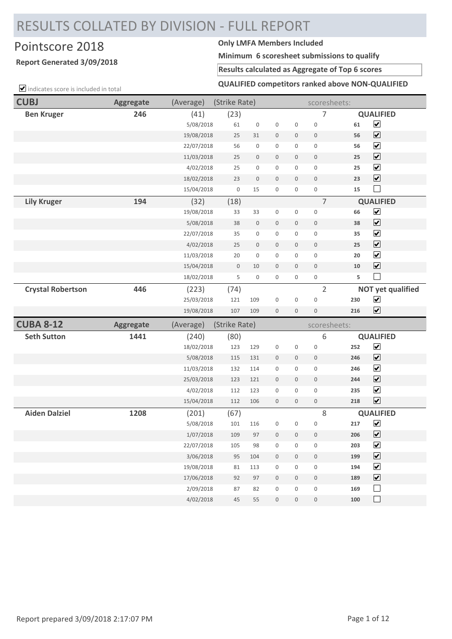# RESULTS COLLATED BY DIVISION - FULL REPORT

## Pointscore 2018 **Only LMFA Members Included**

### **Report Generated 3/09/2018**

**Minimum 6 scoresheet submissions to qualify**

#### **Results calculated as Aggregate of Top 6 scores**

 $\Box$  indicates score is included in total

**QUALIFIED competitors ranked above NON-QUALIFIED**

| <b>CUBJ</b>              | <b>Aggregate</b> | (Average)              | (Strike Rate) |                     |                                            |                          | scoresheets:                       |            |                              |
|--------------------------|------------------|------------------------|---------------|---------------------|--------------------------------------------|--------------------------|------------------------------------|------------|------------------------------|
| <b>Ben Kruger</b>        | 246              | (41)                   | (23)          |                     |                                            |                          | 7                                  |            | <b>QUALIFIED</b>             |
|                          |                  | 5/08/2018              | 61            | $\mathsf{O}\xspace$ | $\mathsf{O}\xspace$                        | 0                        | $\mathbf 0$                        | 61         | $\overline{\mathbf{v}}$      |
|                          |                  | 19/08/2018             | 25            | 31                  | $\mathbb O$                                | 0                        | $\mathbf 0$                        | 56         | $\overline{\mathbf{v}}$      |
|                          |                  | 22/07/2018             | 56            | 0                   | $\mathsf{O}\xspace$                        | 0                        | $\mathsf{O}\xspace$                | 56         | $\overline{\mathbf{v}}$      |
|                          |                  | 11/03/2018             | 25            | 0                   | $\mathbf 0$                                | 0                        | $\mathbf 0$                        | 25         | $\blacktriangledown$         |
|                          |                  | 4/02/2018              | 25            | 0                   | $\mathsf{O}\xspace$                        | 0                        | $\mathbf 0$                        | 25         | $\blacktriangledown$         |
|                          |                  | 18/02/2018             | 23            | 0                   | $\mathbf 0$                                | 0                        | $\mathbf 0$                        | 23         | $\blacktriangledown$         |
|                          |                  | 15/04/2018             | $\mathbf 0$   | 15                  | 0                                          | 0                        | $\mathsf{O}\xspace$                | 15         | $\sim$                       |
| <b>Lily Kruger</b>       | 194              | (32)                   | (18)          |                     |                                            |                          | $\overline{7}$                     |            | <b>QUALIFIED</b>             |
|                          |                  | 19/08/2018             | 33            | 33                  | $\mathsf{O}\xspace$                        | 0                        | $\mathbf 0$                        | 66         | $\overline{\mathbf{v}}$      |
|                          |                  | 5/08/2018              | 38            | 0                   | $\mathsf{O}\xspace$                        | 0                        | $\mathbf 0$                        | 38         | $\overline{\mathbf{v}}$      |
|                          |                  | 22/07/2018             | 35            | 0                   | $\mathsf{O}\xspace$                        | 0                        | $\mathbf 0$                        | 35         | $\blacktriangledown$         |
|                          |                  | 4/02/2018              | 25            | 0                   | $\mathbf 0$                                | 0                        | $\mathbf 0$                        | 25         | $\blacktriangledown$         |
|                          |                  | 11/03/2018             | 20            | 0                   | $\mathsf{O}\xspace$                        | 0                        | $\mathsf{O}\xspace$                | 20         | $\overline{\mathbf{v}}$      |
|                          |                  | 15/04/2018             | $\mathsf{O}$  | 10                  | $\mathsf{O}\xspace$                        | 0                        | $\mathbf 0$                        | 10         | $\overline{\mathbf{v}}$      |
|                          |                  | 18/02/2018             | 5             | 0                   | $\mathsf{O}\xspace$                        | 0                        | $\mathsf{O}\xspace$                | 5          | $\Box$                       |
| <b>Crystal Robertson</b> | 446              | (223)                  | (74)          |                     |                                            |                          | $\overline{2}$                     |            | <b>NOT yet qualified</b>     |
|                          |                  | 25/03/2018             | 121           | 109                 | $\mathsf{O}\xspace$                        | 0                        | $\mathbf 0$                        | 230        | $\blacktriangledown$         |
|                          |                  | 19/08/2018             | 107           | 109                 | $\boldsymbol{0}$                           | 0                        | $\bf 0$                            | 216        | $\blacktriangledown$         |
|                          |                  |                        |               |                     |                                            |                          |                                    |            |                              |
| <b>CUBA 8-12</b>         | <b>Aggregate</b> | (Average)              | (Strike Rate) |                     |                                            |                          | scoresheets:                       |            |                              |
| <b>Seth Sutton</b>       | 1441             | (240)                  | (80)          |                     |                                            |                          | 6                                  |            | <b>QUALIFIED</b>             |
|                          |                  | 18/02/2018             | 123           | 129                 | $\mathsf{O}\xspace$                        | 0                        | $\mathsf{O}\xspace$                | 252        | $\blacktriangledown$         |
|                          |                  | 5/08/2018              | 115           | 131                 | $\mathbb O$                                | 0                        | $\mathbf 0$                        | 246        | $\overline{\mathbf{v}}$      |
|                          |                  | 11/03/2018             | 132           | 114                 | 0                                          | 0                        | $\mathsf{O}\xspace$                | 246        | $\blacktriangledown$         |
|                          |                  | 25/03/2018             | 123           | 121                 | $\mathbf 0$                                | $\mathbf 0$              | $\mathbf 0$                        | 244        | $\blacktriangledown$         |
|                          |                  | 4/02/2018              | 112           | 123                 | $\mathbf 0$                                | 0                        | $\mathbf 0$                        | 235        | $\blacktriangledown$         |
|                          |                  | 15/04/2018             | 112           | 106                 | $\mathbf 0$                                | 0                        | $\mathbb O$                        | 218        | $\overline{\mathbf{v}}$      |
| <b>Aiden Dalziel</b>     | 1208             | (201)                  | (67)          |                     |                                            |                          | $\,8\,$                            |            | <b>QUALIFIED</b>             |
|                          |                  | 5/08/2018              | 101           | 116                 | 0                                          | 0                        | $\mathsf{O}\xspace$                | 217        | $\blacktriangledown$         |
|                          |                  | 1/07/2018              | 109           | 97                  | $\mathsf{O}\xspace$                        | 0                        | $\mathsf{O}\xspace$                | 206        | $\overline{\mathbf{v}}$      |
|                          |                  | 22/07/2018             | 105           | 98                  | $\mathsf{O}\xspace$                        | 0                        | $\mathbf 0$                        | 203        | $\overline{\mathbf{v}}$      |
|                          |                  | 3/06/2018              | 95            | 104                 | $\mathsf{O}\xspace$                        | 0                        | $\mathsf{O}\xspace$                | 199        | $\overline{\mathbf{v}}$      |
|                          |                  | 19/08/2018             | 81            | 113                 | $\mathsf{O}\xspace$                        | 0                        | $\mathsf{O}\xspace$                | 194        | $\overline{\mathbf{v}}$      |
|                          |                  | 17/06/2018             | 92            | 97                  | $\mathsf{O}$                               | 0                        | $\mathsf{O}$                       | 189        | $\boxed{\blacktriangledown}$ |
|                          |                  | 2/09/2018<br>4/02/2018 | 87<br>45      | 82<br>55            | $\mathsf{O}\xspace$<br>$\mathsf{O}\xspace$ | 0<br>$\mathsf{O}\xspace$ | $\mathsf{O}\xspace$<br>$\mathbb O$ | 169<br>100 | $\Box$<br>$\mathbb{R}^n$     |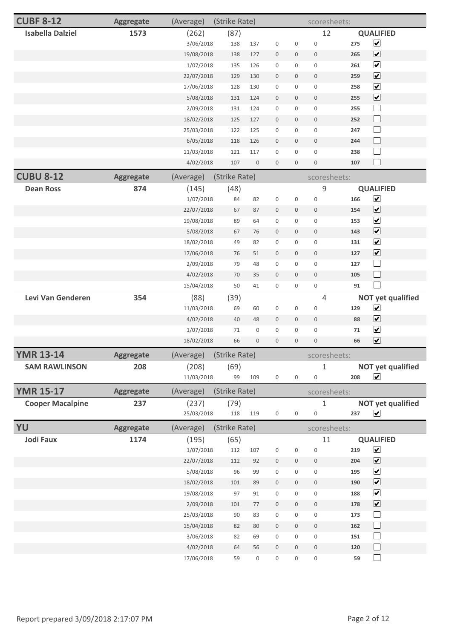| <b>CUBF 8-12</b>        | <b>Aggregate</b> | (Average)               | (Strike Rate) |                     |                     |              | scoresheets:        |     |                          |
|-------------------------|------------------|-------------------------|---------------|---------------------|---------------------|--------------|---------------------|-----|--------------------------|
| <b>Isabella Dalziel</b> | 1573             | (262)                   | (87)          |                     |                     |              | 12                  |     | <b>QUALIFIED</b>         |
|                         |                  | 3/06/2018               | 138           | 137                 | $\boldsymbol{0}$    | 0            | $\mathsf{O}\xspace$ | 275 | $\blacktriangledown$     |
|                         |                  | 19/08/2018              | 138           | 127                 | $\mathbf 0$         | 0            | $\mathsf{O}$        | 265 | $\overline{\mathbf{v}}$  |
|                         |                  | 1/07/2018               | 135           | 126                 | 0                   | 0            | $\mathsf{O}\xspace$ | 261 | $\blacktriangledown$     |
|                         |                  | 22/07/2018              | 129           | 130                 | $\boldsymbol{0}$    | 0            | $\mathbb O$         | 259 | $\overline{\mathbf{v}}$  |
|                         |                  | 17/06/2018              | 128           | 130                 | $\boldsymbol{0}$    | 0            | $\mathbf 0$         | 258 | $\overline{\mathbf{v}}$  |
|                         |                  | 5/08/2018               | 131           | 124                 | $\bf 0$             | 0            | $\bf 0$             | 255 | $\overline{\mathbf{v}}$  |
|                         |                  | 2/09/2018               | 131           | 124                 | $\mathsf{O}\xspace$ | 0            | $\mathsf{O}\xspace$ | 255 | $\Box$                   |
|                         |                  | 18/02/2018              | 125           | 127                 | $\boldsymbol{0}$    | 0            | $\bf 0$             | 252 | $\Box$                   |
|                         |                  | 25/03/2018              | 122           | 125                 | $\mathbf 0$         | 0            | $\mathsf{O}\xspace$ | 247 | $\Box$                   |
|                         |                  | 6/05/2018               | 118           | 126                 | $\mathbf 0$         | 0            | $\mathbf 0$         | 244 | $\Box$                   |
|                         |                  | 11/03/2018              | 121           | 117                 | $\mathbf 0$         | 0            | $\mathsf{O}\xspace$ | 238 | $\Box$                   |
|                         |                  | 4/02/2018               | 107           | 0                   | $\boldsymbol{0}$    | 0            | $\mathsf{O}\xspace$ | 107 | $\Box$                   |
| <b>CUBU 8-12</b>        | <b>Aggregate</b> | (Average)               | (Strike Rate) |                     |                     |              | scoresheets:        |     |                          |
| <b>Dean Ross</b>        | 874              | (145)                   | (48)          |                     |                     |              | $\mathsf 9$         |     | <b>QUALIFIED</b>         |
|                         |                  | 1/07/2018               | 84            | 82                  | $\boldsymbol{0}$    | 0            | 0                   | 166 | $\blacktriangledown$     |
|                         |                  | 22/07/2018              | 67            | 87                  | $\mathbf 0$         | 0            | $\mathsf{O}$        | 154 | $\overline{\mathbf{v}}$  |
|                         |                  | 19/08/2018              | 89            | 64                  | $\mathbf 0$         | 0            | 0                   | 153 | $\blacktriangledown$     |
|                         |                  | 5/08/2018               | 67            | 76                  | $\mathbf 0$         | $\mathsf{O}$ | $\mathbb O$         | 143 | $\overline{\mathbf{v}}$  |
|                         |                  | 18/02/2018              | 49            | 82                  | $\mathbf 0$         | 0            | $\mathsf 0$         | 131 | $\blacktriangledown$     |
|                         |                  | 17/06/2018              | 76            | 51                  | $\bf 0$             | 0            | 0                   | 127 | $\overline{\mathbf{v}}$  |
|                         |                  | 2/09/2018               | 79            | 48                  | $\mathsf{O}\xspace$ | 0            | $\mathsf{O}\xspace$ | 127 | $\Box$                   |
|                         |                  | 4/02/2018               | 70            | 35                  | $\boldsymbol{0}$    | 0            | $\mathsf{O}$        | 105 | $\Box$                   |
|                         |                  | 15/04/2018              | 50            | 41                  | 0                   | 0            | $\mathsf{O}\xspace$ | 91  | $\Box$                   |
| Levi Van Genderen       | 354              | (88)                    | (39)          |                     |                     |              | $\overline{4}$      |     | <b>NOT yet qualified</b> |
|                         |                  | 11/03/2018              | 69            | 60                  | $\boldsymbol{0}$    | 0            | 0                   | 129 | $\blacktriangledown$     |
|                         |                  | 4/02/2018               | 40            | 48                  | $\mathbf 0$         | 0            | $\mathbb O$         | 88  | $\overline{\mathbf{v}}$  |
|                         |                  | 1/07/2018               | 71            | 0                   | $\mathbf 0$         | 0            | $\mathsf{O}\xspace$ | 71  | $\blacktriangledown$     |
|                         |                  | 18/02/2018              | 66            | $\mathsf{O}\xspace$ | $\mathsf{O}\xspace$ | 0            | $\mathbb O$         | 66  | $\blacktriangledown$     |
| <b>YMR 13-14</b>        | <b>Aggregate</b> | (Average) (Strike Rate) |               |                     |                     |              | scoresheets:        |     |                          |
| <b>SAM RAWLINSON</b>    | 208              | (208)                   | (69)          |                     |                     |              | 1                   |     | <b>NOT yet qualified</b> |
|                         |                  | 11/03/2018              | 99            | 109                 | $\mathsf{O}\xspace$ | 0            | 0                   | 208 | $\blacktriangledown$     |
| <b>YMR 15-17</b>        | <b>Aggregate</b> | (Average)               | (Strike Rate) |                     |                     |              | scoresheets:        |     |                          |
| <b>Cooper Macalpine</b> | 237              | (237)                   | (79)          |                     |                     |              | 1                   |     | <b>NOT yet qualified</b> |
|                         |                  | 25/03/2018              | 118           | 119                 | $\mathsf{O}\xspace$ | 0            | 0                   | 237 | $\blacktriangledown$     |
| YU                      | <b>Aggregate</b> | (Average)               | (Strike Rate) |                     |                     |              | scoresheets:        |     |                          |
| <b>Jodi Faux</b>        | 1174             | (195)                   | (65)          |                     |                     |              | 11                  |     | <b>QUALIFIED</b>         |
|                         |                  | 1/07/2018               | 112           | 107                 | $\mathsf 0$         | 0            | $\mathbf 0$         | 219 | $\blacktriangledown$     |
|                         |                  | 22/07/2018              | 112           | 92                  | $\boldsymbol{0}$    | 0            | $\mathbb O$         | 204 | $\blacktriangledown$     |
|                         |                  | 5/08/2018               | 96            | 99                  | $\mathbf 0$         | 0            | $\mathsf{O}\xspace$ | 195 | $\blacktriangledown$     |
|                         |                  | 18/02/2018              | 101           | 89                  | $\mathbb O$         | 0            | $\mathbb O$         | 190 | $\blacktriangledown$     |
|                         |                  | 19/08/2018              | 97            | 91                  | 0                   | 0            | $\mathsf{O}\xspace$ | 188 | $\blacktriangledown$     |
|                         |                  | 2/09/2018               | 101           | $77 \,$             | $\mathsf{O}\xspace$ | 0            | $\mathsf{O}\xspace$ | 178 | $\blacktriangledown$     |
|                         |                  | 25/03/2018              | 90            | 83                  | $\mathsf{O}\xspace$ | 0            | $\mathbf 0$         | 173 | $\Box$                   |
|                         |                  | 15/04/2018              | 82            | 80                  | $\boldsymbol{0}$    | 0            | $\mathbb O$         | 162 | $\Box$                   |
|                         |                  | 3/06/2018               | 82            | 69                  | $\mathsf{O}\xspace$ | 0            | $\mathsf{O}\xspace$ | 151 | $\Box$                   |
|                         |                  | 4/02/2018               | 64            | 56                  | $\boldsymbol{0}$    | 0            | $\mathsf{O}$        | 120 | $\Box$                   |
|                         |                  | 17/06/2018              | 59            | 0                   | $\mathsf{O}\xspace$ | 0            | 0                   | 59  | $\Box$                   |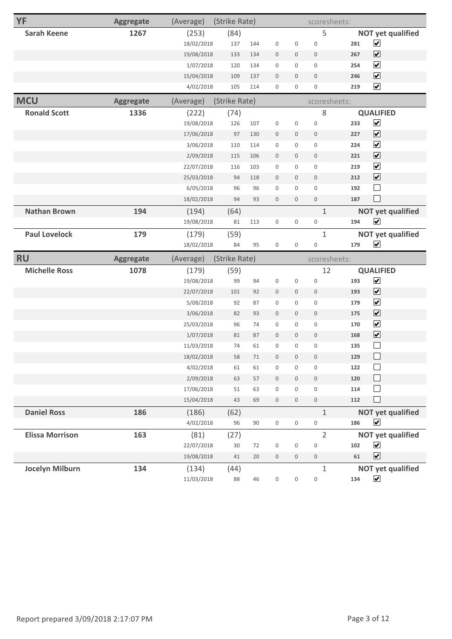| YF                     | <b>Aggregate</b> | (Average)  | (Strike Rate) |        |                     |                     | scoresheets:        |     |                          |
|------------------------|------------------|------------|---------------|--------|---------------------|---------------------|---------------------|-----|--------------------------|
| <b>Sarah Keene</b>     | 1267             | (253)      | (84)          |        |                     |                     | 5                   |     | <b>NOT yet qualified</b> |
|                        |                  | 18/02/2018 | 137           | 144    | $\mathbf 0$         | $\mathsf{O}\xspace$ | $\mathsf{O}\xspace$ | 281 | $\blacktriangledown$     |
|                        |                  | 19/08/2018 | 133           | 134    | $\mathbf 0$         | $\mathsf{O}\xspace$ | $\mathbf 0$         | 267 | $\overline{\mathbf{v}}$  |
|                        |                  | 1/07/2018  | 120           | 134    | $\mathbb O$         | $\mathsf{O}\xspace$ | $\mathsf{O}\xspace$ | 254 | $\blacktriangledown$     |
|                        |                  | 15/04/2018 | 109           | 137    | $\mathbf 0$         | $\mathbf 0$         | $\mathbf 0$         | 246 | $\blacktriangledown$     |
|                        |                  | 4/02/2018  | 105           | 114    | $\mathbf 0$         | $\mathsf{O}\xspace$ | $\mathsf{O}\xspace$ | 219 | $\blacktriangledown$     |
| <b>MCU</b>             | <b>Aggregate</b> | (Average)  | (Strike Rate) |        |                     |                     | scoresheets:        |     |                          |
| <b>Ronald Scott</b>    | 1336             | (222)      | (74)          |        |                     |                     | 8                   |     | <b>QUALIFIED</b>         |
|                        |                  | 19/08/2018 | 126           | 107    | $\mathbb O$         | $\mathsf{O}\xspace$ | $\mathsf{O}\xspace$ | 233 | $\blacktriangledown$     |
|                        |                  | 17/06/2018 | 97            | 130    | $\mathbb O$         | $\mathbf 0$         | $\mathbb O$         | 227 | $\overline{\mathbf{v}}$  |
|                        |                  | 3/06/2018  | 110           | 114    | $\mathbf 0$         | $\mathsf{O}\xspace$ | $\mathbf 0$         | 224 | $\blacktriangledown$     |
|                        |                  | 2/09/2018  | 115           | 106    | $\mathbf 0$         | $\mathbf 0$         | $\boldsymbol{0}$    | 221 | $\overline{\mathbf{v}}$  |
|                        |                  | 22/07/2018 | 116           | 103    | $\mathbb O$         | $\mathsf{O}\xspace$ | $\mathbf 0$         | 219 | $\overline{\mathbf{v}}$  |
|                        |                  | 25/03/2018 | 94            | 118    | $\mathbf 0$         | $\mathsf{O}\xspace$ | $\boldsymbol{0}$    | 212 | $\overline{\mathbf{v}}$  |
|                        |                  | 6/05/2018  | 96            | 96     | $\mathbb O$         | $\mathsf{O}\xspace$ | $\mathsf{O}\xspace$ | 192 | $\Box$                   |
|                        |                  | 18/02/2018 | 94            | 93     | $\mathbf 0$         | $\mathsf{O}\xspace$ | $\mathbf 0$         | 187 | $\Box$                   |
| <b>Nathan Brown</b>    | 194              | (194)      | (64)          |        |                     |                     | $1\,$               |     | <b>NOT yet qualified</b> |
|                        |                  | 19/08/2018 | 81            | 113    | $\mathbf 0$         | $\mathsf 0$         | $\mathsf{O}\xspace$ | 194 | $\blacktriangledown$     |
| <b>Paul Lovelock</b>   | 179              | (179)      | (59)          |        |                     |                     | $\mathbf{1}$        |     | <b>NOT yet qualified</b> |
|                        |                  | 18/02/2018 | 84            | 95     | $\mathbf 0$         | $\mathbf 0$         | $\mathsf{O}\xspace$ | 179 | $\blacktriangledown$     |
|                        |                  |            |               |        |                     |                     |                     |     |                          |
| <b>RU</b>              | <b>Aggregate</b> | (Average)  | (Strike Rate) |        |                     |                     | scoresheets:        |     |                          |
| <b>Michelle Ross</b>   | 1078             | (179)      | (59)          |        |                     |                     | 12                  |     | <b>QUALIFIED</b>         |
|                        |                  | 19/08/2018 | 99            | 94     | $\mathbf 0$         | $\mathsf{O}\xspace$ | $\mathsf{O}\xspace$ | 193 | $\blacktriangledown$     |
|                        |                  | 22/07/2018 | 101           | 92     | $\mathbf 0$         | $\mathsf{O}\xspace$ | $\boldsymbol{0}$    | 193 | $\overline{\mathbf{v}}$  |
|                        |                  | 5/08/2018  | 92            | 87     | $\mathbb O$         | $\mathsf{O}\xspace$ | $\mathsf{O}\xspace$ | 179 | $\blacktriangledown$     |
|                        |                  | 3/06/2018  | 82            | 93     | $\mathbb O$         | $\mathsf{O}\xspace$ | $\mathbb O$         | 175 | $\blacktriangledown$     |
|                        |                  | 25/03/2018 | 96            | 74     | $\mathbf 0$         | $\mathbf 0$         | $\mathbf 0$         | 170 | $\blacktriangledown$     |
|                        |                  | 1/07/2018  | 81            | 87     | $\mathbb O$         | $\mathsf{O}\xspace$ | $\mathbb O$         | 168 | $\overline{\mathbf{v}}$  |
|                        |                  | 11/03/2018 | 74            | 61     | $\mathbf 0$         | $\mathsf{O}\xspace$ | $\mathsf{O}\xspace$ | 135 | $\overline{\phantom{a}}$ |
|                        |                  | 18/02/2018 | 58            | $71\,$ | $\mathsf{O}\xspace$ | $\mathsf{O}\xspace$ | $\boldsymbol{0}$    | 129 | $\Box$                   |
|                        |                  | 4/02/2018  | 61            | 61     | $\mathsf{O}\xspace$ | $\mathsf{O}\xspace$ | $\mathsf{O}\xspace$ | 122 |                          |
|                        |                  | 2/09/2018  | 63            | 57     | $\mathsf{O}\xspace$ | $\mathsf{O}\xspace$ | $\mathsf{O}\xspace$ | 120 | $\Box$                   |
|                        |                  | 17/06/2018 | 51            | 63     | $\mathsf{O}\xspace$ | $\mathsf{O}\xspace$ | $\mathsf{O}\xspace$ | 114 | $\overline{\phantom{0}}$ |
|                        |                  | 15/04/2018 | 43            | 69     | $\mathbb O$         | $\mathsf{O}\xspace$ | $\mathbb O$         | 112 | $\Box$                   |
| <b>Daniel Ross</b>     | 186              | (186)      | (62)          |        |                     |                     | $1\,$               |     | <b>NOT yet qualified</b> |
|                        |                  | 4/02/2018  | 96            | $90\,$ | $\mathsf{O}\xspace$ | $\mathsf{O}\xspace$ | $\mathsf 0$         | 186 | $\blacktriangledown$     |
| <b>Elissa Morrison</b> | 163              | (81)       | (27)          |        |                     |                     | $\overline{2}$      |     | <b>NOT yet qualified</b> |
|                        |                  | 22/07/2018 | $30\,$        | 72     | $\mathbf 0$         | $\mathsf{O}\xspace$ | $\mathsf{O}\xspace$ | 102 | $\blacktriangledown$     |
|                        |                  | 19/08/2018 | 41            | 20     | $\mathbf 0$         | $\mathsf{O}\xspace$ | $\boldsymbol{0}$    | 61  | $\blacktriangledown$     |
| <b>Jocelyn Milburn</b> | 134              | (134)      | (44)          |        |                     |                     | $\mathbf{1}$        |     | <b>NOT yet qualified</b> |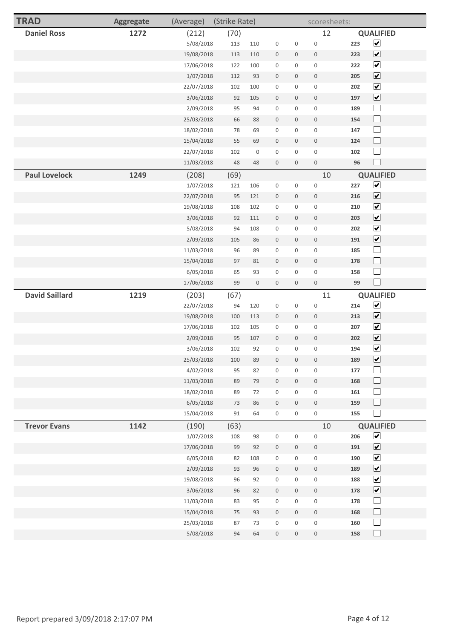| <b>TRAD</b>           | Aggregate | (Average)  | (Strike Rate) |                     |                     |                     | scoresheets:        |     |                              |
|-----------------------|-----------|------------|---------------|---------------------|---------------------|---------------------|---------------------|-----|------------------------------|
| <b>Daniel Ross</b>    | 1272      | (212)      | (70)          |                     |                     |                     | 12                  |     | <b>QUALIFIED</b>             |
|                       |           | 5/08/2018  | 113           | 110                 | $\mathbb O$         | 0                   | $\mathbf 0$         | 223 | $\blacktriangledown$         |
|                       |           | 19/08/2018 | 113           | 110                 | $\mathsf{O}$        | $\mathbf 0$         | $\mathbf 0$         | 223 | $\boxed{\blacktriangledown}$ |
|                       |           | 17/06/2018 | 122           | 100                 | $\mathsf{O}\xspace$ | $\mathbf 0$         | $\mathsf{O}\xspace$ | 222 | $\blacktriangledown$         |
|                       |           | 1/07/2018  | 112           | 93                  | $\mathbb O$         | $\mathbf 0$         | $\mathbb O$         | 205 | $\boxed{\blacktriangledown}$ |
|                       |           | 22/07/2018 | 102           | 100                 | $\mathsf{O}\xspace$ | 0                   | $\mathsf{O}\xspace$ | 202 | $\overline{\mathbf{v}}$      |
|                       |           | 3/06/2018  | 92            | 105                 | $\mathbf 0$         | 0                   | $\mathbf 0$         | 197 | $\boxed{\blacktriangledown}$ |
|                       |           | 2/09/2018  | 95            | 94                  | $\mathbf 0$         | 0                   | $\mathbf 0$         | 189 | $\Box$                       |
|                       |           | 25/03/2018 | 66            | 88                  | $\boldsymbol{0}$    | $\mathbf 0$         | $\boldsymbol{0}$    | 154 | $\Box$                       |
|                       |           | 18/02/2018 | 78            | 69                  | $\mathsf{O}\xspace$ | 0                   | $\mathsf{O}\xspace$ | 147 | $\Box$                       |
|                       |           | 15/04/2018 | 55            | 69                  | $\mathbf 0$         | $\mathsf{O}\xspace$ | $\mathbf 0$         | 124 | $\Box$                       |
|                       |           | 22/07/2018 | 102           | $\mathsf{O}\xspace$ | $\mathsf{O}\xspace$ | $\mathsf{O}\xspace$ | $\mathsf{O}\xspace$ | 102 | $\Box$                       |
|                       |           | 11/03/2018 | 48            | 48                  | $\mathbb O$         | 0                   | $\mathbb O$         | 96  | $\Box$                       |
| <b>Paul Lovelock</b>  | 1249      | (208)      | (69)          |                     |                     |                     | 10                  |     | <b>QUALIFIED</b>             |
|                       |           | 1/07/2018  | 121           | 106                 | $\mathsf{O}\xspace$ | $\mathsf{O}\xspace$ | $\mathbb O$         | 227 | $\blacktriangledown$         |
|                       |           | 22/07/2018 | 95            | 121                 | $\mathbf 0$         | 0                   | $\mathbb O$         | 216 | $\boxed{\blacktriangledown}$ |
|                       |           | 19/08/2018 | 108           | 102                 | $\mathbf 0$         | $\mathsf{O}\xspace$ | $\mathbf 0$         | 210 | $\overline{\mathbf{v}}$      |
|                       |           | 3/06/2018  | 92            | 111                 | $\mathbf 0$         | $\mathbf 0$         | $\mathbf 0$         | 203 | $\blacktriangledown$         |
|                       |           | 5/08/2018  | 94            | 108                 | $\mathsf{O}\xspace$ | 0                   | $\mathsf{O}\xspace$ | 202 | $\blacktriangledown$         |
|                       |           | 2/09/2018  | 105           | 86                  | $\mathbf 0$         | $\mathsf{O}$        | $\mathbf 0$         | 191 | $\overline{\mathbf{v}}$      |
|                       |           | 11/03/2018 | 96            | 89                  | $\mathbf 0$         | 0                   | $\mathbf 0$         | 185 | $\Box$                       |
|                       |           | 15/04/2018 | 97            | 81                  | $\bf 0$             | 0                   | $\mathbf 0$         | 178 | $\Box$                       |
|                       |           | 6/05/2018  | 65            | 93                  | $\mathsf{O}$        | $\mathsf{O}\xspace$ | $\mathsf{O}\xspace$ | 158 | $\Box$                       |
|                       |           | 17/06/2018 | 99            | $\mathbb O$         | $\mathbf 0$         | 0                   | $\mathbf 0$         | 99  | $\Box$                       |
| <b>David Saillard</b> | 1219      | (203)      | (67)          |                     |                     |                     | 11                  |     | <b>QUALIFIED</b>             |
|                       |           | 22/07/2018 | 94            | 120                 | $\mathsf 0$         | $\mathsf{O}\xspace$ | $\mathbf 0$         | 214 | $\blacktriangledown$         |
|                       |           | 19/08/2018 | 100           | 113                 | $\mathbf 0$         | 0                   | $\mathbf 0$         | 213 | $\boxed{\blacktriangledown}$ |
|                       |           | 17/06/2018 | 102           | 105                 | $\mathbf 0$         | $\mathsf{O}\xspace$ | $\mathbf 0$         | 207 | $\blacktriangledown$         |
|                       |           | 2/09/2018  | 95            | 107                 | $\boldsymbol{0}$    | 0                   | $\mathbb O$         | 202 | $\blacktriangledown$         |
|                       |           | 3/06/2018  | 102           | 92                  | $\mathsf{O}\xspace$ | 0                   | $\mathbf 0$         | 194 | $\blacktriangledown$         |
|                       |           | 25/03/2018 | 100           | 89                  | $\mathsf{O}$        | $\mathsf{O}\xspace$ | $\mathbf 0$         | 189 | $\boxed{\blacktriangledown}$ |
|                       |           | 4/02/2018  | 95            | 82                  | $\mathbb O$         | 0                   | $\mathsf{O}\xspace$ | 177 | $\Box$                       |
|                       |           | 11/03/2018 | 89            | 79                  | $\mathsf{O}$        | $\mathsf{O}\xspace$ | $\mathsf{O}\xspace$ | 168 | $\Box$                       |
|                       |           | 18/02/2018 | 89            | 72                  | $\mathsf{O}\xspace$ | $\mathsf{O}$        | $\mathsf{O}\xspace$ | 161 | $\Box$                       |
|                       |           | 6/05/2018  | 73            | 86                  | $\mathbb O$         | $\mathsf{O}\xspace$ | $\mathsf{O}\xspace$ | 159 | $\Box$                       |
|                       |           | 15/04/2018 | $91\,$        | 64                  | $\mathsf{O}\xspace$ | $\mathsf{O}\xspace$ | $\mathsf{O}\xspace$ | 155 | $\Box$                       |
| <b>Trevor Evans</b>   | 1142      | (190)      | (63)          |                     |                     |                     | 10                  |     | <b>QUALIFIED</b>             |
|                       |           | 1/07/2018  | 108           | 98                  | $\mathsf{O}\xspace$ | $\mathsf{O}\xspace$ | $\mathbf 0$         | 206 | $\blacktriangledown$         |
|                       |           | 17/06/2018 | 99            | 92                  | $\mathsf{O}\xspace$ | $\mathsf{O}\xspace$ | $\boldsymbol{0}$    | 191 | $\blacktriangledown$         |
|                       |           | 6/05/2018  | 82            | 108                 | $\mathsf{O}\xspace$ | 0                   | $\mathsf{O}\xspace$ | 190 | $\blacktriangledown$         |
|                       |           | 2/09/2018  | 93            | 96                  | $\mathsf{O}\xspace$ | $\mathbf 0$         | $\mathsf{O}\xspace$ | 189 | $\blacktriangledown$         |
|                       |           | 19/08/2018 | 96            | 92                  | $\mathsf{O}$        | $\mathbf 0$         | $\mathsf{O}$        | 188 | $\blacktriangledown$         |
|                       |           | 3/06/2018  | 96            | 82                  | $\mathbb O$         | $\mathsf{O}\xspace$ | $\mathbb O$         | 178 | $\blacktriangledown$         |
|                       |           | 11/03/2018 | 83            | 95                  | $\mathsf{O}\xspace$ | $\mathsf{O}\xspace$ | $\mathsf{O}\xspace$ | 178 | $\Box$                       |
|                       |           | 15/04/2018 | 75            | 93                  | $\mathbb O$         | $\mathsf{O}\xspace$ | $\mathsf{O}\xspace$ | 168 | $\Box$                       |
|                       |           | 25/03/2018 | 87            | 73                  | $\boldsymbol{0}$    | $\mathbf 0$         | $\mathbf 0$         | 160 | $\Box$                       |
|                       |           | 5/08/2018  | 94            | 64                  | $\mathsf{O}\xspace$ | 0                   | $\mathbb O$         | 158 | $\Box$                       |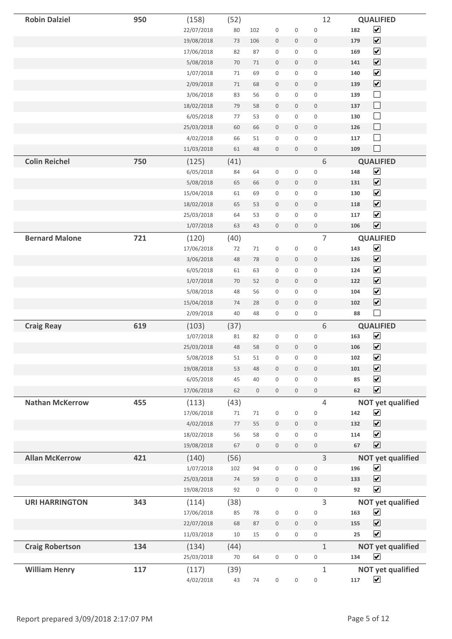| <b>Robin Dalziel</b>   | 950 | (158)      | (52)   |     |                     |              | 12                  |     | <b>QUALIFIED</b>                |
|------------------------|-----|------------|--------|-----|---------------------|--------------|---------------------|-----|---------------------------------|
|                        |     | 22/07/2018 | 80     | 102 | $\mathsf{O}\xspace$ | 0            | $\mathbf 0$         | 182 | $\blacktriangledown$            |
|                        |     | 19/08/2018 | 73     | 106 | $\boldsymbol{0}$    | 0            | $\mathbf 0$         | 179 | $\overline{\blacktriangledown}$ |
|                        |     | 17/06/2018 | 82     | 87  | $\mathsf{O}\xspace$ | 0            | $\mathbb O$         | 169 | $\blacktriangledown$            |
|                        |     | 5/08/2018  | 70     | 71  | $\mathbb O$         | 0            | $\mathbf 0$         | 141 | $\boxed{\blacktriangledown}$    |
|                        |     | 1/07/2018  | 71     | 69  | 0                   | 0            | $\mathbb O$         | 140 | $\blacktriangledown$            |
|                        |     | 2/09/2018  | $71\,$ | 68  | $\mathsf{O}\xspace$ | 0            | $\mathbb O$         | 139 | $\boxed{\blacktriangledown}$    |
|                        |     | 3/06/2018  | 83     | 56  | $\boldsymbol{0}$    | 0            | $\mathbf 0$         | 139 | $\Box$                          |
|                        |     | 18/02/2018 | 79     | 58  | $\boldsymbol{0}$    | 0            | $\mathbf 0$         | 137 | $\Box$                          |
|                        |     | 6/05/2018  | 77     | 53  | $\mathsf{O}\xspace$ | 0            | $\mathbb O$         | 130 | $\Box$                          |
|                        |     | 25/03/2018 | 60     | 66  | $\boldsymbol{0}$    | 0            | $\mathbf 0$         | 126 | $\Box$                          |
|                        |     | 4/02/2018  | 66     | 51  | $\mathsf{O}\xspace$ | 0            | $\mathsf 0$         | 117 | $\Box$                          |
|                        |     | 11/03/2018 | 61     | 48  | $\mathsf{O}\xspace$ | 0            | $\mathbb O$         | 109 | $\Box$                          |
| <b>Colin Reichel</b>   | 750 | (125)      | (41)   |     |                     |              | 6                   |     | <b>QUALIFIED</b>                |
|                        |     | 6/05/2018  | 84     | 64  | $\mathsf{O}\xspace$ | 0            | $\mathbf 0$         | 148 | $\overline{\mathbf{v}}$         |
|                        |     | 5/08/2018  | 65     | 66  | $\boldsymbol{0}$    | 0            | $\mathbf 0$         | 131 | $\boxed{\blacktriangledown}$    |
|                        |     | 15/04/2018 | 61     | 69  | $\mathsf{O}\xspace$ | 0            | $\mathbb O$         | 130 | $\blacktriangledown$            |
|                        |     | 18/02/2018 | 65     | 53  | $\mathsf{O}$        | 0            | $\mathsf{O}$        | 118 | $\blacktriangledown$            |
|                        |     | 25/03/2018 | 64     | 53  | $\mathsf{O}\xspace$ | 0            | $\mathbb O$         | 117 | $\blacktriangledown$            |
|                        |     | 1/07/2018  | 63     | 43  | $\mathsf{O}$        | 0            | $\mathsf{O}\xspace$ | 106 | $\overline{\mathbf{v}}$         |
| <b>Bernard Malone</b>  | 721 | (120)      | (40)   |     |                     |              | 7                   |     | <b>QUALIFIED</b>                |
|                        |     | 17/06/2018 | 72     | 71  | $\mathsf{O}\xspace$ | 0            | $\mathsf 0$         | 143 | $\blacktriangledown$            |
|                        |     | 3/06/2018  | 48     | 78  | $\boldsymbol{0}$    | 0            | $\mathbb O$         | 126 | $\blacktriangledown$            |
|                        |     | 6/05/2018  | 61     | 63  | $\mathsf{O}\xspace$ | 0            | $\mathbf 0$         | 124 | $\blacktriangledown$            |
|                        |     | 1/07/2018  | 70     | 52  | $\mathbb O$         | 0            | $\mathbf 0$         | 122 | $\blacktriangledown$            |
|                        |     | 5/08/2018  | 48     | 56  | 0                   | 0            | $\mathsf 0$         | 104 | $\overline{\mathbf{v}}$         |
|                        |     | 15/04/2018 | 74     | 28  | $\mathsf{O}\xspace$ | $\mathsf{O}$ | $\mathbb O$         | 102 | $\boxed{\blacktriangledown}$    |
|                        |     | 2/09/2018  | 40     | 48  | $\mathsf{O}\xspace$ | 0            | $\boldsymbol{0}$    | 88  | $\mathcal{L}_{\mathcal{A}}$     |
| <b>Craig Reay</b>      | 619 | (103)      | (37)   |     |                     |              | 6                   |     | <b>QUALIFIED</b>                |
|                        |     | 1/07/2018  | 81     | 82  | 0                   | 0            | $\mathsf{O}\xspace$ | 163 | $\blacktriangledown$            |
|                        |     | 25/03/2018 | 48     | 58  | $\mathbf 0$         | 0            | $\boldsymbol{0}$    | 106 | $\blacktriangledown$            |
|                        |     | 5/08/2018  | 51     | 51  | $\mathsf{O}\xspace$ | 0            | $\boldsymbol{0}$    | 102 | $\blacktriangledown$            |
|                        |     | 19/08/2018 | 53     | 48  | $\mathsf{O}\xspace$ | 0            | $\mathbf 0$         | 101 | $\blacktriangledown$            |
|                        |     | 6/05/2018  | 45     | 40  | $\mathsf{O}\xspace$ | 0            | $\mathbf 0$         | 85  | $\blacktriangledown$            |
|                        |     | 17/06/2018 | 62     | 0   | $\mathsf{O}\xspace$ | $\mathbf 0$  | $\mathsf{O}\xspace$ | 62  | $\blacktriangledown$            |
| <b>Nathan McKerrow</b> | 455 | (113)      | (43)   |     |                     |              | $\overline{4}$      |     | <b>NOT yet qualified</b>        |
|                        |     | 17/06/2018 | $71\,$ | 71  | 0                   | 0            | $\mathbf 0$         | 142 | $\blacktriangledown$            |
|                        |     | 4/02/2018  | $77$   | 55  | $\mathbf 0$         | 0            | $\mathsf{O}\xspace$ | 132 | $\overline{\mathbf{v}}$         |
|                        |     | 18/02/2018 | 56     | 58  | $\mathsf{O}\xspace$ | 0            | $\mathsf{O}\xspace$ | 114 | $\blacktriangledown$            |
|                        |     | 19/08/2018 | 67     | 0   | $\mathsf{O}\xspace$ | 0            | $\mathbb O$         | 67  | $\blacktriangledown$            |
| <b>Allan McKerrow</b>  | 421 | (140)      | (56)   |     |                     |              | 3                   |     | <b>NOT yet qualified</b>        |
|                        |     | 1/07/2018  | 102    | 94  | $\mathsf{O}\xspace$ | 0            | $\mathbf 0$         | 196 | $\blacktriangledown$            |
|                        |     | 25/03/2018 | 74     | 59  | $\mathsf{O}\xspace$ | 0            | $\mathbb O$         | 133 | $\overline{\mathbf{v}}$         |
|                        |     | 19/08/2018 | 92     | 0   | 0                   | 0            | 0                   | 92  | $\blacktriangledown$            |
| <b>URI HARRINGTON</b>  | 343 | (114)      | (38)   |     |                     |              | 3                   |     | <b>NOT yet qualified</b>        |
|                        |     | 17/06/2018 | 85     | 78  | 0                   | 0            | $\boldsymbol{0}$    | 163 | $\blacktriangledown$            |
|                        |     | 22/07/2018 | 68     | 87  | $\mathsf{O}\xspace$ | 0            | $\mathbb O$         | 155 | $\blacktriangledown$            |
|                        |     | 11/03/2018 | $10\,$ | 15  | 0                   | 0            | $\mathsf{O}\xspace$ | 25  | $\blacktriangledown$            |
| <b>Craig Robertson</b> | 134 | (134)      | (44)   |     |                     |              | $\mathbf{1}$        |     | <b>NOT yet qualified</b>        |
|                        |     | 25/03/2018 | 70     | 64  | 0                   | 0            | $\mathsf{O}\xspace$ | 134 | $\blacktriangledown$            |
| <b>William Henry</b>   | 117 | (117)      | (39)   |     |                     |              | $\mathbf{1}$        |     | <b>NOT yet qualified</b>        |
|                        |     | 4/02/2018  | 43     | 74  | 0                   | 0            | $\mathsf{O}\xspace$ | 117 | $\blacktriangledown$            |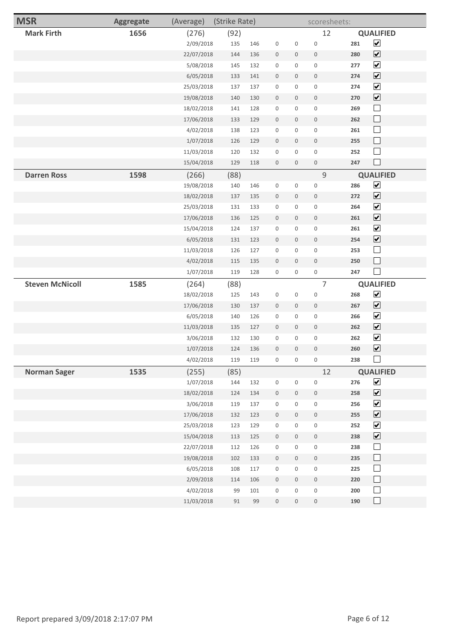| <b>Mark Firth</b><br>1656<br>(92)<br>12<br><b>QUALIFIED</b><br>(276)<br>$\blacktriangledown$<br>2/09/2018<br>$\mathsf 0$<br>135<br>146<br>$\mathbb O$<br>$\mathbb O$<br>281<br>$\boxed{\blacktriangledown}$<br>22/07/2018<br>280<br>144<br>136<br>$\mathbf 0$<br>$\mathbf 0$<br>$\mathsf{O}\xspace$<br>$\overline{\mathbf{v}}$<br>5/08/2018<br>132<br>145<br>$\mathbf 0$<br>$\mathsf{O}\xspace$<br>$\mathsf{O}\xspace$<br>277<br>$\boxed{\blacktriangledown}$<br>6/05/2018<br>141<br>274<br>133<br>$\mathbf 0$<br>$\mathbf 0$<br>$\mathbf 0$<br>$\overline{\mathbf{v}}$<br>25/03/2018<br>137<br>137<br>$\mathbf 0$<br>$\mathsf{O}\xspace$<br>$\mathbb O$<br>274<br>$\boxed{\blacktriangledown}$<br>19/08/2018<br>140<br>130<br>$\mathbf 0$<br>$\mathbb O$<br>270<br>$\mathbf 0$<br>$\Box$<br>128<br>18/02/2018<br>141<br>$\mathbf 0$<br>$\mathbf 0$<br>$\mathsf{O}\xspace$<br>269<br>$\Box$<br>17/06/2018<br>262<br>133<br>129<br>$\mathbf 0$<br>$\mathsf{O}\xspace$<br>$\mathsf{O}\xspace$<br>$\Box$<br>4/02/2018<br>138<br>123<br>$\mathbf 0$<br>$\mathsf{O}\xspace$<br>$\mathbb O$<br>261<br>$\Box$<br>1/07/2018<br>129<br>255<br>126<br>$\mathbf 0$<br>$\mathsf{O}\xspace$<br>$\boldsymbol{0}$<br>$\Box$<br>132<br>11/03/2018<br>120<br>$\mathbf 0$<br>$\mathsf{O}\xspace$<br>$\mathbb O$<br>252<br>$\Box$<br>247<br>$\mathbb O$<br>15/04/2018<br>129<br>118<br>$\mathbf 0$<br>$\mathsf{O}\xspace$<br>$\mathsf 9$<br><b>Darren Ross</b><br>1598<br>(88)<br><b>QUALIFIED</b><br>(266)<br>$\blacktriangledown$<br>19/08/2018<br>$\mathbf 0$<br>286<br>140<br>146<br>$\mathbb O$<br>$\mathbb O$<br>$\overline{\mathbf{v}}$<br>18/02/2018<br>135<br>$\mathbb O$<br>272<br>137<br>$\mathbf 0$<br>$\mathbf 0$<br>$\blacktriangledown$<br>25/03/2018<br>131<br>133<br>$\mathbb O$<br>$\mathbf 0$<br>$\mathbb O$<br>264<br>$\overline{\mathbf{v}}$<br>17/06/2018<br>136<br>125<br>261<br>$\mathbf 0$<br>$\mathbf 0$<br>$\mathsf{O}\xspace$<br>$\blacktriangledown$<br>15/04/2018<br>124<br>137<br>$\mathbf 0$<br>0<br>$\mathsf{O}\xspace$<br>261<br>$\boxed{\blacktriangledown}$<br>6/05/2018<br>131<br>123<br>$\mathbf 0$<br>$\mathbf 0$<br>$\mathbb O$<br>254<br>$\Box$<br>11/03/2018<br>127<br>$\mathbf 0$<br>$\mathsf{O}\xspace$<br>$\mathsf 0$<br>126<br>253<br>$\Box$<br>4/02/2018<br>115<br>135<br>$\mathbb O$<br>$\mathbb O$<br>250<br>$\mathbf 0$<br>$\Box$<br>$\mathsf{O}\xspace$<br>247<br>1/07/2018<br>119<br>$\mathbf 0$<br>$\mathsf{O}\xspace$<br>128<br><b>Steven McNicoll</b><br>1585<br>(88)<br>$\overline{7}$<br><b>QUALIFIED</b><br>(264)<br>$\blacktriangledown$<br>18/02/2018<br>125<br>143<br>$\mathbf 0$<br>$\mathbf 0$<br>$\mathsf 0$<br>268<br>$\boxed{\blacktriangledown}$<br>17/06/2018<br>137<br>267<br>130<br>$\mathbf 0$<br>$\mathbf 0$<br>$\mathsf{O}\xspace$<br>$\overline{\mathbf{v}}$<br>6/05/2018<br>140<br>126<br>$\mathbf 0$<br>$\mathsf 0$<br>266<br>$\mathbf 0$<br>$\blacktriangledown$<br>11/03/2018<br>135<br>127<br>262<br>$\mathbf 0$<br>$\mathbf 0$<br>$\mathsf{O}\xspace$<br>$\blacktriangledown$<br>3/06/2018<br>132<br>130<br>0<br>$\mathsf{O}\xspace$<br>262<br>$\mathbf 0$<br>$\overline{\mathbf{v}}$<br>124<br>136<br>$\mathbf 0$<br>$\mathbf 0$<br>$\mathsf{O}\xspace$<br>260<br>1/07/2018<br>$\Box$<br>$\mathsf{O}\xspace$<br>$\mathsf{O}\xspace$<br>$\mathsf{O}\xspace$<br>238<br>4/02/2018<br>119<br>119<br>1535<br>12<br><b>QUALIFIED</b><br><b>Norman Sager</b><br>(255)<br>(85)<br>$\blacktriangledown$<br>1/07/2018<br>$\mathsf{O}\xspace$<br>$\mathsf 0$<br>276<br>144<br>132<br>$\mathsf{O}\xspace$<br>$\blacktriangledown$<br>18/02/2018<br>124<br>134<br>$\mathbb O$<br>$\mathsf{O}\xspace$<br>$\mathsf{O}\xspace$<br>258<br>$\blacktriangledown$<br>3/06/2018<br>119<br>137<br>$\mathbf 0$<br>$\mathsf{O}\xspace$<br>$\mathsf 0$<br>256<br>$\boxed{\blacktriangledown}$<br>17/06/2018<br>132<br>123<br>$\mathsf{O}\xspace$<br>255<br>$\mathsf{O}\xspace$<br>$\mathsf{O}\xspace$<br>$\blacktriangledown$<br>25/03/2018<br>123<br>129<br>$\mathsf{O}\xspace$<br>$\mathsf{O}$<br>$\mathsf{O}\xspace$<br>252<br>$\blacktriangledown$<br>15/04/2018<br>113<br>125<br>$\mathbb O$<br>$\mathsf{O}\xspace$<br>$\mathsf{O}\xspace$<br>238<br>$\Box$<br>22/07/2018<br>112<br>126<br>$\mathbf 0$<br>$\mathsf{O}\xspace$<br>$\mathsf 0$<br>238<br>$\Box$<br>19/08/2018<br>102<br>133<br>$\mathsf{O}\xspace$<br>$\mathsf{O}\xspace$<br>$\mathbb O$<br>235<br>$\Box$<br>6/05/2018<br>$\mathsf 0$<br>108<br>117<br>$\mathsf{O}\xspace$<br>$\mathsf{O}$<br>225<br>$\Box$<br>2/09/2018<br>114<br>106<br>$\mathbb O$<br>$\mathsf{O}\xspace$<br>$\mathsf{O}\xspace$<br>220<br>$\Box$<br>4/02/2018<br>99<br>101<br>$\mathbf 0$<br>$\mathsf{O}\xspace$<br>$\mathsf 0$<br>200 | <b>MSR</b> | <b>Aggregate</b> | (Average) | (Strike Rate) |  | scoresheets: |        |
|--------------------------------------------------------------------------------------------------------------------------------------------------------------------------------------------------------------------------------------------------------------------------------------------------------------------------------------------------------------------------------------------------------------------------------------------------------------------------------------------------------------------------------------------------------------------------------------------------------------------------------------------------------------------------------------------------------------------------------------------------------------------------------------------------------------------------------------------------------------------------------------------------------------------------------------------------------------------------------------------------------------------------------------------------------------------------------------------------------------------------------------------------------------------------------------------------------------------------------------------------------------------------------------------------------------------------------------------------------------------------------------------------------------------------------------------------------------------------------------------------------------------------------------------------------------------------------------------------------------------------------------------------------------------------------------------------------------------------------------------------------------------------------------------------------------------------------------------------------------------------------------------------------------------------------------------------------------------------------------------------------------------------------------------------------------------------------------------------------------------------------------------------------------------------------------------------------------------------------------------------------------------------------------------------------------------------------------------------------------------------------------------------------------------------------------------------------------------------------------------------------------------------------------------------------------------------------------------------------------------------------------------------------------------------------------------------------------------------------------------------------------------------------------------------------------------------------------------------------------------------------------------------------------------------------------------------------------------------------------------------------------------------------------------------------------------------------------------------------------------------------------------------------------------------------------------------------------------------------------------------------------------------------------------------------------------------------------------------------------------------------------------------------------------------------------------------------------------------------------------------------------------------------------------------------------------------------------------------------------------------------------------------------------------------------------------------------------------------------------------------------------------------------------------------------------------------------------------------------------------------------------------------------------------------------------------------------------------------------------------------------------------------------------------------------------------------------------------------------------------------------------------------------------------------------------------------------------------------------------------------------------------------------------------------------------------------------------------------------------------------------------------------------------------------------------------------------------------------------------------------------------------------------------------------------------------------------------------------------------------------------------------------------------------------------------------------------------------|------------|------------------|-----------|---------------|--|--------------|--------|
|                                                                                                                                                                                                                                                                                                                                                                                                                                                                                                                                                                                                                                                                                                                                                                                                                                                                                                                                                                                                                                                                                                                                                                                                                                                                                                                                                                                                                                                                                                                                                                                                                                                                                                                                                                                                                                                                                                                                                                                                                                                                                                                                                                                                                                                                                                                                                                                                                                                                                                                                                                                                                                                                                                                                                                                                                                                                                                                                                                                                                                                                                                                                                                                                                                                                                                                                                                                                                                                                                                                                                                                                                                                                                                                                                                                                                                                                                                                                                                                                                                                                                                                                                                                                                                                                                                                                                                                                                                                                                                                                                                                                                                                                                                                    |            |                  |           |               |  |              |        |
|                                                                                                                                                                                                                                                                                                                                                                                                                                                                                                                                                                                                                                                                                                                                                                                                                                                                                                                                                                                                                                                                                                                                                                                                                                                                                                                                                                                                                                                                                                                                                                                                                                                                                                                                                                                                                                                                                                                                                                                                                                                                                                                                                                                                                                                                                                                                                                                                                                                                                                                                                                                                                                                                                                                                                                                                                                                                                                                                                                                                                                                                                                                                                                                                                                                                                                                                                                                                                                                                                                                                                                                                                                                                                                                                                                                                                                                                                                                                                                                                                                                                                                                                                                                                                                                                                                                                                                                                                                                                                                                                                                                                                                                                                                                    |            |                  |           |               |  |              |        |
|                                                                                                                                                                                                                                                                                                                                                                                                                                                                                                                                                                                                                                                                                                                                                                                                                                                                                                                                                                                                                                                                                                                                                                                                                                                                                                                                                                                                                                                                                                                                                                                                                                                                                                                                                                                                                                                                                                                                                                                                                                                                                                                                                                                                                                                                                                                                                                                                                                                                                                                                                                                                                                                                                                                                                                                                                                                                                                                                                                                                                                                                                                                                                                                                                                                                                                                                                                                                                                                                                                                                                                                                                                                                                                                                                                                                                                                                                                                                                                                                                                                                                                                                                                                                                                                                                                                                                                                                                                                                                                                                                                                                                                                                                                                    |            |                  |           |               |  |              |        |
|                                                                                                                                                                                                                                                                                                                                                                                                                                                                                                                                                                                                                                                                                                                                                                                                                                                                                                                                                                                                                                                                                                                                                                                                                                                                                                                                                                                                                                                                                                                                                                                                                                                                                                                                                                                                                                                                                                                                                                                                                                                                                                                                                                                                                                                                                                                                                                                                                                                                                                                                                                                                                                                                                                                                                                                                                                                                                                                                                                                                                                                                                                                                                                                                                                                                                                                                                                                                                                                                                                                                                                                                                                                                                                                                                                                                                                                                                                                                                                                                                                                                                                                                                                                                                                                                                                                                                                                                                                                                                                                                                                                                                                                                                                                    |            |                  |           |               |  |              |        |
|                                                                                                                                                                                                                                                                                                                                                                                                                                                                                                                                                                                                                                                                                                                                                                                                                                                                                                                                                                                                                                                                                                                                                                                                                                                                                                                                                                                                                                                                                                                                                                                                                                                                                                                                                                                                                                                                                                                                                                                                                                                                                                                                                                                                                                                                                                                                                                                                                                                                                                                                                                                                                                                                                                                                                                                                                                                                                                                                                                                                                                                                                                                                                                                                                                                                                                                                                                                                                                                                                                                                                                                                                                                                                                                                                                                                                                                                                                                                                                                                                                                                                                                                                                                                                                                                                                                                                                                                                                                                                                                                                                                                                                                                                                                    |            |                  |           |               |  |              |        |
|                                                                                                                                                                                                                                                                                                                                                                                                                                                                                                                                                                                                                                                                                                                                                                                                                                                                                                                                                                                                                                                                                                                                                                                                                                                                                                                                                                                                                                                                                                                                                                                                                                                                                                                                                                                                                                                                                                                                                                                                                                                                                                                                                                                                                                                                                                                                                                                                                                                                                                                                                                                                                                                                                                                                                                                                                                                                                                                                                                                                                                                                                                                                                                                                                                                                                                                                                                                                                                                                                                                                                                                                                                                                                                                                                                                                                                                                                                                                                                                                                                                                                                                                                                                                                                                                                                                                                                                                                                                                                                                                                                                                                                                                                                                    |            |                  |           |               |  |              |        |
|                                                                                                                                                                                                                                                                                                                                                                                                                                                                                                                                                                                                                                                                                                                                                                                                                                                                                                                                                                                                                                                                                                                                                                                                                                                                                                                                                                                                                                                                                                                                                                                                                                                                                                                                                                                                                                                                                                                                                                                                                                                                                                                                                                                                                                                                                                                                                                                                                                                                                                                                                                                                                                                                                                                                                                                                                                                                                                                                                                                                                                                                                                                                                                                                                                                                                                                                                                                                                                                                                                                                                                                                                                                                                                                                                                                                                                                                                                                                                                                                                                                                                                                                                                                                                                                                                                                                                                                                                                                                                                                                                                                                                                                                                                                    |            |                  |           |               |  |              |        |
|                                                                                                                                                                                                                                                                                                                                                                                                                                                                                                                                                                                                                                                                                                                                                                                                                                                                                                                                                                                                                                                                                                                                                                                                                                                                                                                                                                                                                                                                                                                                                                                                                                                                                                                                                                                                                                                                                                                                                                                                                                                                                                                                                                                                                                                                                                                                                                                                                                                                                                                                                                                                                                                                                                                                                                                                                                                                                                                                                                                                                                                                                                                                                                                                                                                                                                                                                                                                                                                                                                                                                                                                                                                                                                                                                                                                                                                                                                                                                                                                                                                                                                                                                                                                                                                                                                                                                                                                                                                                                                                                                                                                                                                                                                                    |            |                  |           |               |  |              |        |
|                                                                                                                                                                                                                                                                                                                                                                                                                                                                                                                                                                                                                                                                                                                                                                                                                                                                                                                                                                                                                                                                                                                                                                                                                                                                                                                                                                                                                                                                                                                                                                                                                                                                                                                                                                                                                                                                                                                                                                                                                                                                                                                                                                                                                                                                                                                                                                                                                                                                                                                                                                                                                                                                                                                                                                                                                                                                                                                                                                                                                                                                                                                                                                                                                                                                                                                                                                                                                                                                                                                                                                                                                                                                                                                                                                                                                                                                                                                                                                                                                                                                                                                                                                                                                                                                                                                                                                                                                                                                                                                                                                                                                                                                                                                    |            |                  |           |               |  |              |        |
|                                                                                                                                                                                                                                                                                                                                                                                                                                                                                                                                                                                                                                                                                                                                                                                                                                                                                                                                                                                                                                                                                                                                                                                                                                                                                                                                                                                                                                                                                                                                                                                                                                                                                                                                                                                                                                                                                                                                                                                                                                                                                                                                                                                                                                                                                                                                                                                                                                                                                                                                                                                                                                                                                                                                                                                                                                                                                                                                                                                                                                                                                                                                                                                                                                                                                                                                                                                                                                                                                                                                                                                                                                                                                                                                                                                                                                                                                                                                                                                                                                                                                                                                                                                                                                                                                                                                                                                                                                                                                                                                                                                                                                                                                                                    |            |                  |           |               |  |              |        |
|                                                                                                                                                                                                                                                                                                                                                                                                                                                                                                                                                                                                                                                                                                                                                                                                                                                                                                                                                                                                                                                                                                                                                                                                                                                                                                                                                                                                                                                                                                                                                                                                                                                                                                                                                                                                                                                                                                                                                                                                                                                                                                                                                                                                                                                                                                                                                                                                                                                                                                                                                                                                                                                                                                                                                                                                                                                                                                                                                                                                                                                                                                                                                                                                                                                                                                                                                                                                                                                                                                                                                                                                                                                                                                                                                                                                                                                                                                                                                                                                                                                                                                                                                                                                                                                                                                                                                                                                                                                                                                                                                                                                                                                                                                                    |            |                  |           |               |  |              |        |
|                                                                                                                                                                                                                                                                                                                                                                                                                                                                                                                                                                                                                                                                                                                                                                                                                                                                                                                                                                                                                                                                                                                                                                                                                                                                                                                                                                                                                                                                                                                                                                                                                                                                                                                                                                                                                                                                                                                                                                                                                                                                                                                                                                                                                                                                                                                                                                                                                                                                                                                                                                                                                                                                                                                                                                                                                                                                                                                                                                                                                                                                                                                                                                                                                                                                                                                                                                                                                                                                                                                                                                                                                                                                                                                                                                                                                                                                                                                                                                                                                                                                                                                                                                                                                                                                                                                                                                                                                                                                                                                                                                                                                                                                                                                    |            |                  |           |               |  |              |        |
|                                                                                                                                                                                                                                                                                                                                                                                                                                                                                                                                                                                                                                                                                                                                                                                                                                                                                                                                                                                                                                                                                                                                                                                                                                                                                                                                                                                                                                                                                                                                                                                                                                                                                                                                                                                                                                                                                                                                                                                                                                                                                                                                                                                                                                                                                                                                                                                                                                                                                                                                                                                                                                                                                                                                                                                                                                                                                                                                                                                                                                                                                                                                                                                                                                                                                                                                                                                                                                                                                                                                                                                                                                                                                                                                                                                                                                                                                                                                                                                                                                                                                                                                                                                                                                                                                                                                                                                                                                                                                                                                                                                                                                                                                                                    |            |                  |           |               |  |              |        |
|                                                                                                                                                                                                                                                                                                                                                                                                                                                                                                                                                                                                                                                                                                                                                                                                                                                                                                                                                                                                                                                                                                                                                                                                                                                                                                                                                                                                                                                                                                                                                                                                                                                                                                                                                                                                                                                                                                                                                                                                                                                                                                                                                                                                                                                                                                                                                                                                                                                                                                                                                                                                                                                                                                                                                                                                                                                                                                                                                                                                                                                                                                                                                                                                                                                                                                                                                                                                                                                                                                                                                                                                                                                                                                                                                                                                                                                                                                                                                                                                                                                                                                                                                                                                                                                                                                                                                                                                                                                                                                                                                                                                                                                                                                                    |            |                  |           |               |  |              |        |
|                                                                                                                                                                                                                                                                                                                                                                                                                                                                                                                                                                                                                                                                                                                                                                                                                                                                                                                                                                                                                                                                                                                                                                                                                                                                                                                                                                                                                                                                                                                                                                                                                                                                                                                                                                                                                                                                                                                                                                                                                                                                                                                                                                                                                                                                                                                                                                                                                                                                                                                                                                                                                                                                                                                                                                                                                                                                                                                                                                                                                                                                                                                                                                                                                                                                                                                                                                                                                                                                                                                                                                                                                                                                                                                                                                                                                                                                                                                                                                                                                                                                                                                                                                                                                                                                                                                                                                                                                                                                                                                                                                                                                                                                                                                    |            |                  |           |               |  |              |        |
|                                                                                                                                                                                                                                                                                                                                                                                                                                                                                                                                                                                                                                                                                                                                                                                                                                                                                                                                                                                                                                                                                                                                                                                                                                                                                                                                                                                                                                                                                                                                                                                                                                                                                                                                                                                                                                                                                                                                                                                                                                                                                                                                                                                                                                                                                                                                                                                                                                                                                                                                                                                                                                                                                                                                                                                                                                                                                                                                                                                                                                                                                                                                                                                                                                                                                                                                                                                                                                                                                                                                                                                                                                                                                                                                                                                                                                                                                                                                                                                                                                                                                                                                                                                                                                                                                                                                                                                                                                                                                                                                                                                                                                                                                                                    |            |                  |           |               |  |              |        |
|                                                                                                                                                                                                                                                                                                                                                                                                                                                                                                                                                                                                                                                                                                                                                                                                                                                                                                                                                                                                                                                                                                                                                                                                                                                                                                                                                                                                                                                                                                                                                                                                                                                                                                                                                                                                                                                                                                                                                                                                                                                                                                                                                                                                                                                                                                                                                                                                                                                                                                                                                                                                                                                                                                                                                                                                                                                                                                                                                                                                                                                                                                                                                                                                                                                                                                                                                                                                                                                                                                                                                                                                                                                                                                                                                                                                                                                                                                                                                                                                                                                                                                                                                                                                                                                                                                                                                                                                                                                                                                                                                                                                                                                                                                                    |            |                  |           |               |  |              |        |
|                                                                                                                                                                                                                                                                                                                                                                                                                                                                                                                                                                                                                                                                                                                                                                                                                                                                                                                                                                                                                                                                                                                                                                                                                                                                                                                                                                                                                                                                                                                                                                                                                                                                                                                                                                                                                                                                                                                                                                                                                                                                                                                                                                                                                                                                                                                                                                                                                                                                                                                                                                                                                                                                                                                                                                                                                                                                                                                                                                                                                                                                                                                                                                                                                                                                                                                                                                                                                                                                                                                                                                                                                                                                                                                                                                                                                                                                                                                                                                                                                                                                                                                                                                                                                                                                                                                                                                                                                                                                                                                                                                                                                                                                                                                    |            |                  |           |               |  |              |        |
|                                                                                                                                                                                                                                                                                                                                                                                                                                                                                                                                                                                                                                                                                                                                                                                                                                                                                                                                                                                                                                                                                                                                                                                                                                                                                                                                                                                                                                                                                                                                                                                                                                                                                                                                                                                                                                                                                                                                                                                                                                                                                                                                                                                                                                                                                                                                                                                                                                                                                                                                                                                                                                                                                                                                                                                                                                                                                                                                                                                                                                                                                                                                                                                                                                                                                                                                                                                                                                                                                                                                                                                                                                                                                                                                                                                                                                                                                                                                                                                                                                                                                                                                                                                                                                                                                                                                                                                                                                                                                                                                                                                                                                                                                                                    |            |                  |           |               |  |              |        |
|                                                                                                                                                                                                                                                                                                                                                                                                                                                                                                                                                                                                                                                                                                                                                                                                                                                                                                                                                                                                                                                                                                                                                                                                                                                                                                                                                                                                                                                                                                                                                                                                                                                                                                                                                                                                                                                                                                                                                                                                                                                                                                                                                                                                                                                                                                                                                                                                                                                                                                                                                                                                                                                                                                                                                                                                                                                                                                                                                                                                                                                                                                                                                                                                                                                                                                                                                                                                                                                                                                                                                                                                                                                                                                                                                                                                                                                                                                                                                                                                                                                                                                                                                                                                                                                                                                                                                                                                                                                                                                                                                                                                                                                                                                                    |            |                  |           |               |  |              |        |
|                                                                                                                                                                                                                                                                                                                                                                                                                                                                                                                                                                                                                                                                                                                                                                                                                                                                                                                                                                                                                                                                                                                                                                                                                                                                                                                                                                                                                                                                                                                                                                                                                                                                                                                                                                                                                                                                                                                                                                                                                                                                                                                                                                                                                                                                                                                                                                                                                                                                                                                                                                                                                                                                                                                                                                                                                                                                                                                                                                                                                                                                                                                                                                                                                                                                                                                                                                                                                                                                                                                                                                                                                                                                                                                                                                                                                                                                                                                                                                                                                                                                                                                                                                                                                                                                                                                                                                                                                                                                                                                                                                                                                                                                                                                    |            |                  |           |               |  |              |        |
|                                                                                                                                                                                                                                                                                                                                                                                                                                                                                                                                                                                                                                                                                                                                                                                                                                                                                                                                                                                                                                                                                                                                                                                                                                                                                                                                                                                                                                                                                                                                                                                                                                                                                                                                                                                                                                                                                                                                                                                                                                                                                                                                                                                                                                                                                                                                                                                                                                                                                                                                                                                                                                                                                                                                                                                                                                                                                                                                                                                                                                                                                                                                                                                                                                                                                                                                                                                                                                                                                                                                                                                                                                                                                                                                                                                                                                                                                                                                                                                                                                                                                                                                                                                                                                                                                                                                                                                                                                                                                                                                                                                                                                                                                                                    |            |                  |           |               |  |              |        |
|                                                                                                                                                                                                                                                                                                                                                                                                                                                                                                                                                                                                                                                                                                                                                                                                                                                                                                                                                                                                                                                                                                                                                                                                                                                                                                                                                                                                                                                                                                                                                                                                                                                                                                                                                                                                                                                                                                                                                                                                                                                                                                                                                                                                                                                                                                                                                                                                                                                                                                                                                                                                                                                                                                                                                                                                                                                                                                                                                                                                                                                                                                                                                                                                                                                                                                                                                                                                                                                                                                                                                                                                                                                                                                                                                                                                                                                                                                                                                                                                                                                                                                                                                                                                                                                                                                                                                                                                                                                                                                                                                                                                                                                                                                                    |            |                  |           |               |  |              |        |
|                                                                                                                                                                                                                                                                                                                                                                                                                                                                                                                                                                                                                                                                                                                                                                                                                                                                                                                                                                                                                                                                                                                                                                                                                                                                                                                                                                                                                                                                                                                                                                                                                                                                                                                                                                                                                                                                                                                                                                                                                                                                                                                                                                                                                                                                                                                                                                                                                                                                                                                                                                                                                                                                                                                                                                                                                                                                                                                                                                                                                                                                                                                                                                                                                                                                                                                                                                                                                                                                                                                                                                                                                                                                                                                                                                                                                                                                                                                                                                                                                                                                                                                                                                                                                                                                                                                                                                                                                                                                                                                                                                                                                                                                                                                    |            |                  |           |               |  |              |        |
|                                                                                                                                                                                                                                                                                                                                                                                                                                                                                                                                                                                                                                                                                                                                                                                                                                                                                                                                                                                                                                                                                                                                                                                                                                                                                                                                                                                                                                                                                                                                                                                                                                                                                                                                                                                                                                                                                                                                                                                                                                                                                                                                                                                                                                                                                                                                                                                                                                                                                                                                                                                                                                                                                                                                                                                                                                                                                                                                                                                                                                                                                                                                                                                                                                                                                                                                                                                                                                                                                                                                                                                                                                                                                                                                                                                                                                                                                                                                                                                                                                                                                                                                                                                                                                                                                                                                                                                                                                                                                                                                                                                                                                                                                                                    |            |                  |           |               |  |              |        |
|                                                                                                                                                                                                                                                                                                                                                                                                                                                                                                                                                                                                                                                                                                                                                                                                                                                                                                                                                                                                                                                                                                                                                                                                                                                                                                                                                                                                                                                                                                                                                                                                                                                                                                                                                                                                                                                                                                                                                                                                                                                                                                                                                                                                                                                                                                                                                                                                                                                                                                                                                                                                                                                                                                                                                                                                                                                                                                                                                                                                                                                                                                                                                                                                                                                                                                                                                                                                                                                                                                                                                                                                                                                                                                                                                                                                                                                                                                                                                                                                                                                                                                                                                                                                                                                                                                                                                                                                                                                                                                                                                                                                                                                                                                                    |            |                  |           |               |  |              |        |
|                                                                                                                                                                                                                                                                                                                                                                                                                                                                                                                                                                                                                                                                                                                                                                                                                                                                                                                                                                                                                                                                                                                                                                                                                                                                                                                                                                                                                                                                                                                                                                                                                                                                                                                                                                                                                                                                                                                                                                                                                                                                                                                                                                                                                                                                                                                                                                                                                                                                                                                                                                                                                                                                                                                                                                                                                                                                                                                                                                                                                                                                                                                                                                                                                                                                                                                                                                                                                                                                                                                                                                                                                                                                                                                                                                                                                                                                                                                                                                                                                                                                                                                                                                                                                                                                                                                                                                                                                                                                                                                                                                                                                                                                                                                    |            |                  |           |               |  |              |        |
|                                                                                                                                                                                                                                                                                                                                                                                                                                                                                                                                                                                                                                                                                                                                                                                                                                                                                                                                                                                                                                                                                                                                                                                                                                                                                                                                                                                                                                                                                                                                                                                                                                                                                                                                                                                                                                                                                                                                                                                                                                                                                                                                                                                                                                                                                                                                                                                                                                                                                                                                                                                                                                                                                                                                                                                                                                                                                                                                                                                                                                                                                                                                                                                                                                                                                                                                                                                                                                                                                                                                                                                                                                                                                                                                                                                                                                                                                                                                                                                                                                                                                                                                                                                                                                                                                                                                                                                                                                                                                                                                                                                                                                                                                                                    |            |                  |           |               |  |              |        |
|                                                                                                                                                                                                                                                                                                                                                                                                                                                                                                                                                                                                                                                                                                                                                                                                                                                                                                                                                                                                                                                                                                                                                                                                                                                                                                                                                                                                                                                                                                                                                                                                                                                                                                                                                                                                                                                                                                                                                                                                                                                                                                                                                                                                                                                                                                                                                                                                                                                                                                                                                                                                                                                                                                                                                                                                                                                                                                                                                                                                                                                                                                                                                                                                                                                                                                                                                                                                                                                                                                                                                                                                                                                                                                                                                                                                                                                                                                                                                                                                                                                                                                                                                                                                                                                                                                                                                                                                                                                                                                                                                                                                                                                                                                                    |            |                  |           |               |  |              |        |
|                                                                                                                                                                                                                                                                                                                                                                                                                                                                                                                                                                                                                                                                                                                                                                                                                                                                                                                                                                                                                                                                                                                                                                                                                                                                                                                                                                                                                                                                                                                                                                                                                                                                                                                                                                                                                                                                                                                                                                                                                                                                                                                                                                                                                                                                                                                                                                                                                                                                                                                                                                                                                                                                                                                                                                                                                                                                                                                                                                                                                                                                                                                                                                                                                                                                                                                                                                                                                                                                                                                                                                                                                                                                                                                                                                                                                                                                                                                                                                                                                                                                                                                                                                                                                                                                                                                                                                                                                                                                                                                                                                                                                                                                                                                    |            |                  |           |               |  |              |        |
|                                                                                                                                                                                                                                                                                                                                                                                                                                                                                                                                                                                                                                                                                                                                                                                                                                                                                                                                                                                                                                                                                                                                                                                                                                                                                                                                                                                                                                                                                                                                                                                                                                                                                                                                                                                                                                                                                                                                                                                                                                                                                                                                                                                                                                                                                                                                                                                                                                                                                                                                                                                                                                                                                                                                                                                                                                                                                                                                                                                                                                                                                                                                                                                                                                                                                                                                                                                                                                                                                                                                                                                                                                                                                                                                                                                                                                                                                                                                                                                                                                                                                                                                                                                                                                                                                                                                                                                                                                                                                                                                                                                                                                                                                                                    |            |                  |           |               |  |              |        |
|                                                                                                                                                                                                                                                                                                                                                                                                                                                                                                                                                                                                                                                                                                                                                                                                                                                                                                                                                                                                                                                                                                                                                                                                                                                                                                                                                                                                                                                                                                                                                                                                                                                                                                                                                                                                                                                                                                                                                                                                                                                                                                                                                                                                                                                                                                                                                                                                                                                                                                                                                                                                                                                                                                                                                                                                                                                                                                                                                                                                                                                                                                                                                                                                                                                                                                                                                                                                                                                                                                                                                                                                                                                                                                                                                                                                                                                                                                                                                                                                                                                                                                                                                                                                                                                                                                                                                                                                                                                                                                                                                                                                                                                                                                                    |            |                  |           |               |  |              |        |
|                                                                                                                                                                                                                                                                                                                                                                                                                                                                                                                                                                                                                                                                                                                                                                                                                                                                                                                                                                                                                                                                                                                                                                                                                                                                                                                                                                                                                                                                                                                                                                                                                                                                                                                                                                                                                                                                                                                                                                                                                                                                                                                                                                                                                                                                                                                                                                                                                                                                                                                                                                                                                                                                                                                                                                                                                                                                                                                                                                                                                                                                                                                                                                                                                                                                                                                                                                                                                                                                                                                                                                                                                                                                                                                                                                                                                                                                                                                                                                                                                                                                                                                                                                                                                                                                                                                                                                                                                                                                                                                                                                                                                                                                                                                    |            |                  |           |               |  |              |        |
|                                                                                                                                                                                                                                                                                                                                                                                                                                                                                                                                                                                                                                                                                                                                                                                                                                                                                                                                                                                                                                                                                                                                                                                                                                                                                                                                                                                                                                                                                                                                                                                                                                                                                                                                                                                                                                                                                                                                                                                                                                                                                                                                                                                                                                                                                                                                                                                                                                                                                                                                                                                                                                                                                                                                                                                                                                                                                                                                                                                                                                                                                                                                                                                                                                                                                                                                                                                                                                                                                                                                                                                                                                                                                                                                                                                                                                                                                                                                                                                                                                                                                                                                                                                                                                                                                                                                                                                                                                                                                                                                                                                                                                                                                                                    |            |                  |           |               |  |              |        |
|                                                                                                                                                                                                                                                                                                                                                                                                                                                                                                                                                                                                                                                                                                                                                                                                                                                                                                                                                                                                                                                                                                                                                                                                                                                                                                                                                                                                                                                                                                                                                                                                                                                                                                                                                                                                                                                                                                                                                                                                                                                                                                                                                                                                                                                                                                                                                                                                                                                                                                                                                                                                                                                                                                                                                                                                                                                                                                                                                                                                                                                                                                                                                                                                                                                                                                                                                                                                                                                                                                                                                                                                                                                                                                                                                                                                                                                                                                                                                                                                                                                                                                                                                                                                                                                                                                                                                                                                                                                                                                                                                                                                                                                                                                                    |            |                  |           |               |  |              |        |
|                                                                                                                                                                                                                                                                                                                                                                                                                                                                                                                                                                                                                                                                                                                                                                                                                                                                                                                                                                                                                                                                                                                                                                                                                                                                                                                                                                                                                                                                                                                                                                                                                                                                                                                                                                                                                                                                                                                                                                                                                                                                                                                                                                                                                                                                                                                                                                                                                                                                                                                                                                                                                                                                                                                                                                                                                                                                                                                                                                                                                                                                                                                                                                                                                                                                                                                                                                                                                                                                                                                                                                                                                                                                                                                                                                                                                                                                                                                                                                                                                                                                                                                                                                                                                                                                                                                                                                                                                                                                                                                                                                                                                                                                                                                    |            |                  |           |               |  |              |        |
|                                                                                                                                                                                                                                                                                                                                                                                                                                                                                                                                                                                                                                                                                                                                                                                                                                                                                                                                                                                                                                                                                                                                                                                                                                                                                                                                                                                                                                                                                                                                                                                                                                                                                                                                                                                                                                                                                                                                                                                                                                                                                                                                                                                                                                                                                                                                                                                                                                                                                                                                                                                                                                                                                                                                                                                                                                                                                                                                                                                                                                                                                                                                                                                                                                                                                                                                                                                                                                                                                                                                                                                                                                                                                                                                                                                                                                                                                                                                                                                                                                                                                                                                                                                                                                                                                                                                                                                                                                                                                                                                                                                                                                                                                                                    |            |                  |           |               |  |              |        |
|                                                                                                                                                                                                                                                                                                                                                                                                                                                                                                                                                                                                                                                                                                                                                                                                                                                                                                                                                                                                                                                                                                                                                                                                                                                                                                                                                                                                                                                                                                                                                                                                                                                                                                                                                                                                                                                                                                                                                                                                                                                                                                                                                                                                                                                                                                                                                                                                                                                                                                                                                                                                                                                                                                                                                                                                                                                                                                                                                                                                                                                                                                                                                                                                                                                                                                                                                                                                                                                                                                                                                                                                                                                                                                                                                                                                                                                                                                                                                                                                                                                                                                                                                                                                                                                                                                                                                                                                                                                                                                                                                                                                                                                                                                                    |            |                  |           |               |  |              |        |
|                                                                                                                                                                                                                                                                                                                                                                                                                                                                                                                                                                                                                                                                                                                                                                                                                                                                                                                                                                                                                                                                                                                                                                                                                                                                                                                                                                                                                                                                                                                                                                                                                                                                                                                                                                                                                                                                                                                                                                                                                                                                                                                                                                                                                                                                                                                                                                                                                                                                                                                                                                                                                                                                                                                                                                                                                                                                                                                                                                                                                                                                                                                                                                                                                                                                                                                                                                                                                                                                                                                                                                                                                                                                                                                                                                                                                                                                                                                                                                                                                                                                                                                                                                                                                                                                                                                                                                                                                                                                                                                                                                                                                                                                                                                    |            |                  |           |               |  |              |        |
|                                                                                                                                                                                                                                                                                                                                                                                                                                                                                                                                                                                                                                                                                                                                                                                                                                                                                                                                                                                                                                                                                                                                                                                                                                                                                                                                                                                                                                                                                                                                                                                                                                                                                                                                                                                                                                                                                                                                                                                                                                                                                                                                                                                                                                                                                                                                                                                                                                                                                                                                                                                                                                                                                                                                                                                                                                                                                                                                                                                                                                                                                                                                                                                                                                                                                                                                                                                                                                                                                                                                                                                                                                                                                                                                                                                                                                                                                                                                                                                                                                                                                                                                                                                                                                                                                                                                                                                                                                                                                                                                                                                                                                                                                                                    |            |                  |           |               |  |              |        |
|                                                                                                                                                                                                                                                                                                                                                                                                                                                                                                                                                                                                                                                                                                                                                                                                                                                                                                                                                                                                                                                                                                                                                                                                                                                                                                                                                                                                                                                                                                                                                                                                                                                                                                                                                                                                                                                                                                                                                                                                                                                                                                                                                                                                                                                                                                                                                                                                                                                                                                                                                                                                                                                                                                                                                                                                                                                                                                                                                                                                                                                                                                                                                                                                                                                                                                                                                                                                                                                                                                                                                                                                                                                                                                                                                                                                                                                                                                                                                                                                                                                                                                                                                                                                                                                                                                                                                                                                                                                                                                                                                                                                                                                                                                                    |            |                  |           |               |  |              |        |
|                                                                                                                                                                                                                                                                                                                                                                                                                                                                                                                                                                                                                                                                                                                                                                                                                                                                                                                                                                                                                                                                                                                                                                                                                                                                                                                                                                                                                                                                                                                                                                                                                                                                                                                                                                                                                                                                                                                                                                                                                                                                                                                                                                                                                                                                                                                                                                                                                                                                                                                                                                                                                                                                                                                                                                                                                                                                                                                                                                                                                                                                                                                                                                                                                                                                                                                                                                                                                                                                                                                                                                                                                                                                                                                                                                                                                                                                                                                                                                                                                                                                                                                                                                                                                                                                                                                                                                                                                                                                                                                                                                                                                                                                                                                    |            |                  |           |               |  |              |        |
| 11/03/2018<br>91<br>99<br>$\mathbb O$<br>$\mathsf{O}\xspace$<br>$\mathsf{O}\xspace$<br>190                                                                                                                                                                                                                                                                                                                                                                                                                                                                                                                                                                                                                                                                                                                                                                                                                                                                                                                                                                                                                                                                                                                                                                                                                                                                                                                                                                                                                                                                                                                                                                                                                                                                                                                                                                                                                                                                                                                                                                                                                                                                                                                                                                                                                                                                                                                                                                                                                                                                                                                                                                                                                                                                                                                                                                                                                                                                                                                                                                                                                                                                                                                                                                                                                                                                                                                                                                                                                                                                                                                                                                                                                                                                                                                                                                                                                                                                                                                                                                                                                                                                                                                                                                                                                                                                                                                                                                                                                                                                                                                                                                                                                         |            |                  |           |               |  |              | $\Box$ |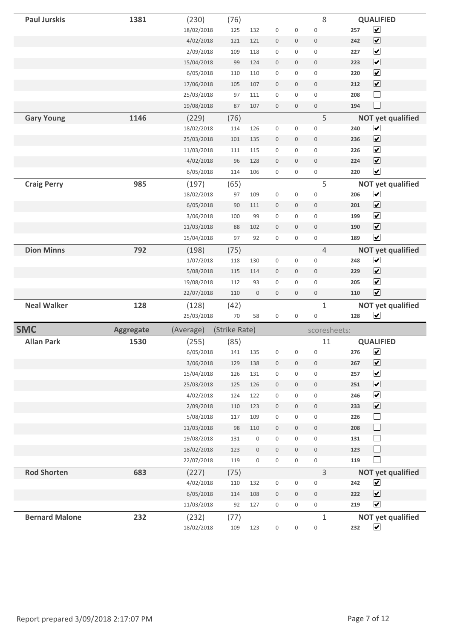| <b>Paul Jurskis</b>   | 1381             | (230)               | (76)          |                     |                     |              | 8                   |     | <b>QUALIFIED</b>                                 |
|-----------------------|------------------|---------------------|---------------|---------------------|---------------------|--------------|---------------------|-----|--------------------------------------------------|
|                       |                  | 18/02/2018          | 125           | 132                 | $\boldsymbol{0}$    | 0            | $\mathbf 0$         | 257 | $\blacktriangledown$                             |
|                       |                  | 4/02/2018           | 121           | 121                 | $\mathbf 0$         | 0            | $\boldsymbol{0}$    | 242 | $\overline{\mathbf{v}}$                          |
|                       |                  | 2/09/2018           | 109           | 118                 | $\mathsf{O}\xspace$ | 0            | $\mathsf{O}\xspace$ | 227 | $\overline{\mathbf{v}}$                          |
|                       |                  | 15/04/2018          | 99            | 124                 | $\boldsymbol{0}$    | 0            | $\bf 0$             | 223 | $\overline{\mathbf{v}}$                          |
|                       |                  | 6/05/2018           | 110           | 110                 | $\mathbf 0$         | 0            | $\mathsf{O}\xspace$ | 220 | $\overline{\mathbf{v}}$                          |
|                       |                  | 17/06/2018          | 105           | 107                 | $\mathbf 0$         | 0            | $\mathbf 0$         | 212 | $\overline{\mathbf{v}}$                          |
|                       |                  | 25/03/2018          | 97            | 111                 | 0                   | 0            | 0                   | 208 | $\Box$                                           |
|                       |                  | 19/08/2018          | 87            | 107                 | $\boldsymbol{0}$    | 0            | $\mathsf{O}\xspace$ | 194 | $\Box$                                           |
| <b>Gary Young</b>     | 1146             | (229)               | (76)          |                     |                     |              | 5                   |     | <b>NOT yet qualified</b>                         |
|                       |                  | 18/02/2018          | 114           | 126                 | 0                   | 0            | 0                   | 240 | $\blacktriangledown$                             |
|                       |                  | 25/03/2018          | 101           | 135                 | $\mathbb O$         | 0            | $\mathbf 0$         | 236 | $\overline{\mathbf{v}}$                          |
|                       |                  | 11/03/2018          | 111           | 115                 | $\mathbf 0$         | 0            | 0                   | 226 | $\overline{\mathbf{v}}$                          |
|                       |                  | 4/02/2018           | 96            | 128                 | $\mathbb O$         | $\mathsf{O}$ | $\mathsf{O}\xspace$ | 224 | $\overline{\mathbf{v}}$                          |
|                       |                  | 6/05/2018           | 114           | 106                 | 0                   | 0            | 0                   | 220 | $\overline{\mathbf{v}}$                          |
| <b>Craig Perry</b>    | 985              | (197)               | (65)          |                     |                     |              | 5                   |     | <b>NOT yet qualified</b>                         |
|                       |                  | 18/02/2018          | 97            | 109                 | $\mathsf{O}\xspace$ | 0            | $\mathsf{O}\xspace$ | 206 | $\blacktriangledown$                             |
|                       |                  | 6/05/2018           | 90            | 111                 | $\mathbf 0$         | 0            | 0                   | 201 | $\overline{\mathbf{v}}$                          |
|                       |                  | 3/06/2018           | 100           | 99                  | $\mathsf{O}\xspace$ | 0            | 0                   | 199 | $\blacktriangledown$                             |
|                       |                  | 11/03/2018          | 88            | 102                 | $\boldsymbol{0}$    | 0            | $\mathsf{O}\xspace$ | 190 | $\overline{\mathbf{v}}$                          |
|                       |                  | 15/04/2018          | 97            | 92                  | $\mathsf{O}\xspace$ | 0            | 0                   | 189 | $\overline{\mathbf{v}}$                          |
| <b>Dion Minns</b>     | 792              | (198)               | (75)          |                     |                     |              | $\overline{4}$      |     | <b>NOT yet qualified</b>                         |
|                       |                  | 1/07/2018           | 118           | 130                 | $\boldsymbol{0}$    | 0            | 0                   | 248 | $\blacktriangledown$                             |
|                       |                  | 5/08/2018           | 115           | 114                 | $\mathbf 0$         | 0            | $\mathbf 0$         | 229 | $\overline{\mathbf{v}}$                          |
|                       |                  | 19/08/2018          | 112           | 93                  | $\mathbf 0$         | 0            | 0                   | 205 | $\blacktriangledown$                             |
|                       |                  | 22/07/2018          | 110           | $\boldsymbol{0}$    | $\mathsf{O}\xspace$ | 0            | $\mathsf{O}\xspace$ | 110 | $\overline{\mathbf{v}}$                          |
| <b>Neal Walker</b>    | 128              | (128)               | (42)          |                     |                     |              | $\mathbf 1$         |     | <b>NOT yet qualified</b>                         |
|                       |                  | 25/03/2018          | 70            | 58                  | 0                   | 0            | 0                   | 128 | $\blacktriangledown$                             |
| <b>SMC</b>            |                  |                     |               |                     |                     |              | scoresheets:        |     |                                                  |
|                       | <b>Aggregate</b> | (Average)           | (Strike Rate) |                     |                     |              |                     |     |                                                  |
| <b>Allan Park</b>     | 1530             | (255)               | (85)          |                     |                     |              | 11                  |     | <b>QUALIFIED</b>                                 |
|                       |                  | 6/05/2018           | 141           |                     | 135 0 0             |              | $\overline{0}$      | 276 | $\blacktriangledown$                             |
|                       |                  | 3/06/2018           | 129           | 138                 | $\mathsf{O}\xspace$ | 0            | 0                   | 267 | $\overline{\mathbf{v}}$                          |
|                       |                  | 15/04/2018          | 126           | 131                 | $\mathsf{O}\xspace$ | 0            | $\mathsf{O}\xspace$ | 257 | $\blacktriangledown$                             |
|                       |                  | 25/03/2018          | 125           | 126                 | $\mathsf{O}\xspace$ | 0            | $\mathsf{O}\xspace$ | 251 | $\blacktriangledown$                             |
|                       |                  | 4/02/2018           | 124           | 122                 | 0                   | 0            | 0                   | 246 | $\blacktriangledown$                             |
|                       |                  | 2/09/2018           | 110           | 123                 | $\mathsf{O}\xspace$ | 0            | $\mathsf{O}\xspace$ | 233 | $\blacktriangledown$                             |
|                       |                  | 5/08/2018           | 117           | 109                 | $\boldsymbol{0}$    | 0            | $\mathsf 0$         | 226 | $\Box$                                           |
|                       |                  | 11/03/2018          | 98            | 110                 | $\mathsf{O}\xspace$ | 0            | $\mathsf{O}\xspace$ | 208 | $\Box$                                           |
|                       |                  | 19/08/2018          | 131           | 0                   | $\mathsf{O}\xspace$ | 0            | $\mathsf{O}\xspace$ | 131 | $\Box$                                           |
|                       |                  | 18/02/2018          | 123           | $\mathsf{O}\xspace$ | $\mathsf{O}\xspace$ | 0            | $\mathsf{O}\xspace$ | 123 | $\Box$                                           |
|                       |                  | 22/07/2018          | 119           | 0                   | 0                   | 0            | $\mathsf{O}\xspace$ | 119 | $\Box$                                           |
| <b>Rod Shorten</b>    | 683              | (227)               | (75)          |                     |                     |              | $\overline{3}$      |     | <b>NOT yet qualified</b>                         |
|                       |                  | 4/02/2018           | 110           | 132                 | 0                   | 0            | 0                   | 242 | $\blacktriangledown$                             |
|                       |                  | 6/05/2018           | 114           | 108                 | $\mathsf{O}\xspace$ | 0            | $\mathbb O$         | 222 | $\blacktriangledown$                             |
|                       |                  | 11/03/2018          | 92            | 127                 | 0                   | 0            | 0                   | 219 | $\blacktriangledown$                             |
| <b>Bernard Malone</b> | 232              | (232)<br>18/02/2018 | (77)<br>109   | 123                 |                     |              | $1\,$               | 232 | <b>NOT yet qualified</b><br>$\blacktriangledown$ |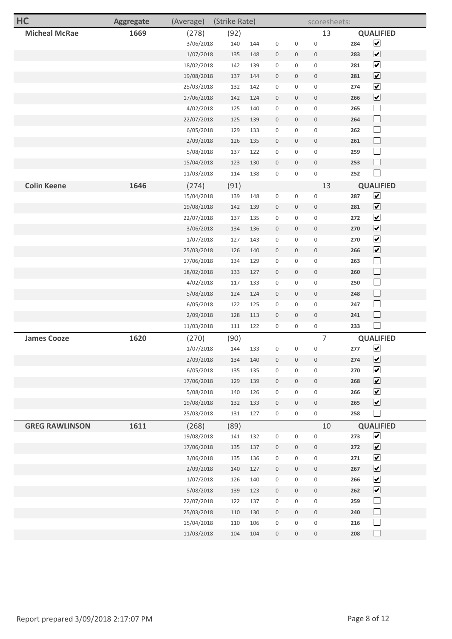| HC                    | <b>Aggregate</b> | (Average)  | (Strike Rate) |     |                     |                     | scoresheets:        |     |                              |
|-----------------------|------------------|------------|---------------|-----|---------------------|---------------------|---------------------|-----|------------------------------|
| <b>Micheal McRae</b>  | 1669             | (278)      | (92)          |     |                     |                     | 13                  |     | <b>QUALIFIED</b>             |
|                       |                  | 3/06/2018  | 140           | 144 | $\mathbf 0$         | 0                   | $\mathbf 0$         | 284 | $\blacktriangledown$         |
|                       |                  | 1/07/2018  | 135           | 148 | $\mathbf 0$         | $\mathbf 0$         | $\mathbf 0$         | 283 | $\overline{\mathbf{v}}$      |
|                       |                  | 18/02/2018 | 142           | 139 | $\mathsf{O}\xspace$ | 0                   | $\mathsf{O}\xspace$ | 281 | $\blacktriangledown$         |
|                       |                  | 19/08/2018 | 137           | 144 | $\mathbb O$         | 0                   | $\mathbf 0$         | 281 | $\boxed{\blacktriangledown}$ |
|                       |                  | 25/03/2018 | 132           | 142 | $\mathbf 0$         | 0                   | $\mathbf 0$         | 274 | $\overline{\mathbf{v}}$      |
|                       |                  | 17/06/2018 | 142           | 124 | $\bf 0$             | 0                   | $\mathbf 0$         | 266 | $\overline{\mathbf{v}}$      |
|                       |                  | 4/02/2018  | 125           | 140 | $\mathbf 0$         | 0                   | $\mathbf 0$         | 265 | $\Box$                       |
|                       |                  | 22/07/2018 | 125           | 139 | $\boldsymbol{0}$    | 0                   | $\mathbf 0$         | 264 | $\Box$                       |
|                       |                  | 6/05/2018  | 129           | 133 | $\mathbf 0$         | 0                   | $\mathbf 0$         | 262 | $\Box$                       |
|                       |                  | 2/09/2018  | 126           | 135 | $\mathbf 0$         | 0                   | $\mathbf 0$         | 261 | $\Box$                       |
|                       |                  | 5/08/2018  | 137           | 122 | $\mathbf 0$         | 0                   | $\mathsf{O}\xspace$ | 259 | $\Box$                       |
|                       |                  | 15/04/2018 | 123           | 130 | $\mathbf 0$         | 0                   | $\mathbf 0$         | 253 | $\Box$                       |
|                       |                  | 11/03/2018 | 114           | 138 | $\mathbf 0$         | 0                   | $\mathbf 0$         | 252 | $\mathcal{L}_{\mathcal{A}}$  |
| <b>Colin Keene</b>    | 1646             | (274)      | (91)          |     |                     |                     | 13                  |     | <b>QUALIFIED</b>             |
|                       |                  | 15/04/2018 | 139           | 148 | $\mathbf 0$         | 0                   | $\mathbf 0$         | 287 | $\blacktriangledown$         |
|                       |                  | 19/08/2018 | 142           | 139 | $\mathbf 0$         | 0                   | $\mathbf 0$         | 281 | $\blacktriangledown$         |
|                       |                  | 22/07/2018 | 137           | 135 | $\mathbf 0$         | 0                   | $\mathbf 0$         | 272 | $\blacktriangledown$         |
|                       |                  | 3/06/2018  | 134           | 136 | $\boldsymbol{0}$    | 0                   | $\boldsymbol{0}$    | 270 | $\blacktriangledown$         |
|                       |                  | 1/07/2018  | 127           | 143 | $\mathbf 0$         | 0                   | $\mathbf 0$         | 270 | $\overline{\mathbf{v}}$      |
|                       |                  | 25/03/2018 | 126           | 140 | $\mathbf 0$         | 0                   | $\mathbf 0$         | 266 | $\overline{\mathbf{v}}$      |
|                       |                  | 17/06/2018 | 134           | 129 | $\mathbf 0$         | 0                   | $\mathbf 0$         | 263 | $\Box$                       |
|                       |                  | 18/02/2018 | 133           | 127 | $\mathbf 0$         | 0                   | $\mathbf 0$         | 260 | $\Box$                       |
|                       |                  | 4/02/2018  | 117           | 133 | $\mathbf 0$         | 0                   | $\mathbf 0$         | 250 | $\Box$                       |
|                       |                  | 5/08/2018  | 124           | 124 | $\bf 0$             | 0                   | $\mathbf 0$         | 248 | $\Box$                       |
|                       |                  | 6/05/2018  | 122           | 125 | $\mathbf 0$         | 0                   | $\mathbf 0$         | 247 | $\Box$                       |
|                       |                  | 2/09/2018  | 128           | 113 | $\bf 0$             | 0                   | $\boldsymbol{0}$    | 241 | $\Box$                       |
|                       |                  | 11/03/2018 | 111           | 122 | $\mathbf 0$         | 0                   | $\mathsf{O}\xspace$ | 233 | $\Box$                       |
| <b>James Cooze</b>    | 1620             | (270)      | (90)          |     |                     |                     | 7                   |     | <b>QUALIFIED</b>             |
|                       |                  | 1/07/2018  | 144           | 133 | $\mathsf{O}\xspace$ | 0                   | $\mathsf{O}\xspace$ | 277 | $\blacktriangledown$         |
|                       |                  | 2/09/2018  | 134           | 140 | $\mathsf{O}$        | $\mathsf{O}\xspace$ | $\mathbf 0$         | 274 | $\boxed{\blacktriangledown}$ |
|                       |                  | 6/05/2018  | 135           | 135 | $\mathbb O$         | 0                   | $\mathsf{O}\xspace$ | 270 | $\blacktriangledown$         |
|                       |                  | 17/06/2018 | 129           | 139 | $\mathsf{O}$        | $\mathsf{O}\xspace$ | $\mathbb O$         | 268 | $\blacktriangledown$         |
|                       |                  | 5/08/2018  | 140           | 126 | $\mathsf{O}\xspace$ | $\mathsf{O}\xspace$ | $\mathbf 0$         | 266 | $\blacktriangledown$         |
|                       |                  | 19/08/2018 | 132           | 133 | $\boldsymbol{0}$    | $\mathsf{O}\xspace$ | $\mathbb O$         | 265 | $\blacktriangledown$         |
|                       |                  | 25/03/2018 | 131           | 127 | $\mathsf{O}\xspace$ | $\mathsf{O}\xspace$ | $\mathsf{O}\xspace$ | 258 | $\Box$                       |
| <b>GREG RAWLINSON</b> | 1611             | (268)      | (89)          |     |                     |                     | 10                  |     | <b>QUALIFIED</b>             |
|                       |                  | 19/08/2018 | 141           | 132 | $\mathsf{O}\xspace$ | $\mathsf{O}\xspace$ | $\mathbf 0$         | 273 | $\blacktriangledown$         |
|                       |                  | 17/06/2018 | 135           | 137 | $\boldsymbol{0}$    | $\mathsf{O}\xspace$ | $\boldsymbol{0}$    | 272 | $\blacktriangledown$         |
|                       |                  | 3/06/2018  | 135           | 136 | $\mathsf{O}\xspace$ | $\mathsf{O}\xspace$ | $\mathsf{O}\xspace$ | 271 | $\blacktriangledown$         |
|                       |                  | 2/09/2018  | 140           | 127 | $\mathsf{O}$        | $\mathbf 0$         | $\boldsymbol{0}$    | 267 | $\blacktriangledown$         |
|                       |                  | 1/07/2018  | 126           | 140 | $\mathbb O$         | $\mathbf 0$         | $\mathsf{O}\xspace$ | 266 | $\blacktriangledown$         |
|                       |                  | 5/08/2018  | 139           | 123 | $\mathsf{O}\xspace$ | $\mathsf{O}\xspace$ | $\mathbb O$         | 262 | $\blacktriangledown$         |
|                       |                  | 22/07/2018 | 122           | 137 | $\mathsf{O}\xspace$ | $\mathsf{O}\xspace$ | $\mathbf 0$         | 259 | $\Box$                       |
|                       |                  | 25/03/2018 | 110           | 130 | $\boldsymbol{0}$    | $\mathbf 0$         | $\mathbf 0$         | 240 | $\Box$                       |
|                       |                  | 15/04/2018 | 110           | 106 | $\mathsf{O}\xspace$ | $\mathsf{O}\xspace$ | $\mathsf{O}\xspace$ | 216 | $\Box$                       |
|                       |                  | 11/03/2018 | 104           | 104 | $\mathbb O$         | 0                   | $\mathbb O$         | 208 | $\Box$                       |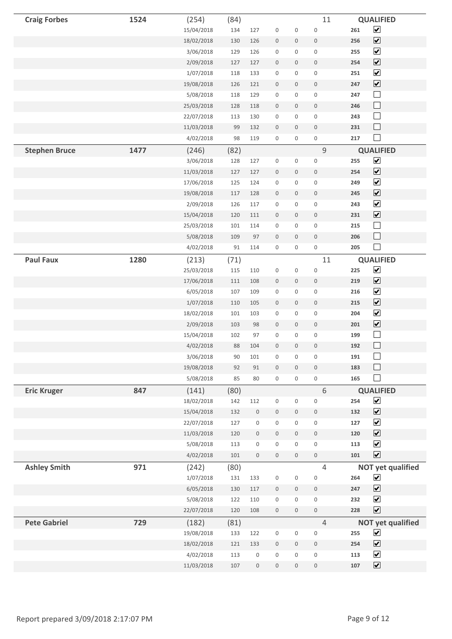| <b>Craig Forbes</b>  | 1524 | (254)      | (84) |                     |                     |                     | 11                  |     | <b>QUALIFIED</b>            |
|----------------------|------|------------|------|---------------------|---------------------|---------------------|---------------------|-----|-----------------------------|
|                      |      | 15/04/2018 | 134  | 127                 | $\mathsf{O}\xspace$ | 0                   | $\mathbf 0$         | 261 | $\blacktriangledown$        |
|                      |      | 18/02/2018 | 130  | 126                 | $\mathsf{O}\xspace$ | 0                   | $\mathsf{O}\xspace$ | 256 | $\overline{\mathbf{v}}$     |
|                      |      | 3/06/2018  | 129  | 126                 | $\mathsf{O}\xspace$ | 0                   | 0                   | 255 | $\blacktriangledown$        |
|                      |      | 2/09/2018  | 127  | 127                 | $\mathbb O$         | 0                   | $\mathbb O$         | 254 | $\blacktriangledown$        |
|                      |      | 1/07/2018  | 118  | 133                 | $\boldsymbol{0}$    | 0                   | $\mathsf{O}\xspace$ | 251 | $\blacktriangledown$        |
|                      |      | 19/08/2018 | 126  | 121                 | $\mathsf{O}\xspace$ | 0                   | $\mathbb O$         | 247 | $\overline{\mathbf{v}}$     |
|                      |      | 5/08/2018  | 118  | 129                 | $\mathsf{O}\xspace$ | 0                   | 0                   | 247 | $\Box$                      |
|                      |      | 25/03/2018 | 128  | 118                 | $\boldsymbol{0}$    | 0                   | $\mathsf{O}\xspace$ | 246 | $\Box$                      |
|                      |      | 22/07/2018 | 113  | 130                 | $\mathsf{O}\xspace$ | 0                   | $\mathsf{O}\xspace$ | 243 | $\Box$                      |
|                      |      | 11/03/2018 | 99   | 132                 | $\mathsf{O}\xspace$ | 0                   | $\mathsf{O}\xspace$ | 231 | $\Box$                      |
|                      |      | 4/02/2018  | 98   | 119                 | $\mathsf{O}\xspace$ | 0                   | 0                   | 217 | $\Box$                      |
| <b>Stephen Bruce</b> | 1477 | (246)      | (82) |                     |                     |                     | $\mathsf 9$         |     | <b>QUALIFIED</b>            |
|                      |      | 3/06/2018  | 128  | 127                 | $\mathsf{O}\xspace$ | 0                   | $\mathsf{O}\xspace$ | 255 | $\blacktriangledown$        |
|                      |      | 11/03/2018 | 127  | 127                 | $\mathbb O$         | 0                   | $\mathbb O$         | 254 | $\blacktriangledown$        |
|                      |      | 17/06/2018 | 125  | 124                 | $\boldsymbol{0}$    | 0                   | $\mathsf{O}\xspace$ | 249 | $\blacktriangledown$        |
|                      |      | 19/08/2018 | 117  | 128                 | $\mathsf{O}\xspace$ | 0                   | $\mathbb O$         | 245 | $\overline{\mathbf{v}}$     |
|                      |      | 2/09/2018  | 126  | 117                 | 0                   | 0                   | 0                   | 243 | $\blacktriangledown$        |
|                      |      | 15/04/2018 | 120  | 111                 | $\boldsymbol{0}$    | 0                   | $\mathsf{O}\xspace$ | 231 | $\overline{\mathbf{v}}$     |
|                      |      | 25/03/2018 | 101  | 114                 | $\mathsf{O}\xspace$ | 0                   | $\mathsf{O}\xspace$ | 215 | $\Box$                      |
|                      |      | 5/08/2018  | 109  | 97                  | $\mathsf{O}\xspace$ | 0                   | $\mathsf{O}\xspace$ | 206 | $\Box$                      |
|                      |      | 4/02/2018  | 91   | 114                 | $\mathsf{O}\xspace$ | 0                   | $\mathsf{O}\xspace$ | 205 | $\blacksquare$              |
| <b>Paul Faux</b>     | 1280 | (213)      | (71) |                     |                     |                     | 11                  |     | <b>QUALIFIED</b>            |
|                      |      | 25/03/2018 | 115  | 110                 | $\mathsf{O}\xspace$ | 0                   | $\mathsf 0$         | 225 | $\blacktriangledown$        |
|                      |      | 17/06/2018 | 111  | 108                 | $\mathbb O$         | 0                   | $\mathbb O$         | 219 | $\blacktriangledown$        |
|                      |      | 6/05/2018  | 107  | 109                 | $\boldsymbol{0}$    | 0                   | $\mathsf{O}\xspace$ | 216 | $\blacktriangledown$        |
|                      |      | 1/07/2018  | 110  | 105                 | $\mathsf{O}\xspace$ | 0                   | $\mathbb O$         | 215 | $\blacktriangledown$        |
|                      |      | 18/02/2018 | 101  | 103                 | 0                   | 0                   | 0                   | 204 | $\blacktriangledown$        |
|                      |      | 2/09/2018  | 103  | 98                  | $\mathbf 0$         | 0                   | $\mathsf{O}\xspace$ | 201 | $\overline{\mathbf{v}}$     |
|                      |      | 15/04/2018 | 102  | 97                  | $\mathbf 0$         | 0                   | $\boldsymbol{0}$    | 199 | $\Box$                      |
|                      |      | 4/02/2018  | 88   | 104                 | $\mathbf 0$         | 0                   | $\mathbf 0$         | 192 | $\Box$                      |
|                      |      | 3/06/2018  | 90   | 101                 | $\mathsf{O}\xspace$ | 0                   | 0                   | 191 |                             |
|                      |      | 19/08/2018 | 92   | 91                  | $\mathsf{O}\xspace$ | 0                   | $\mathsf{O}\xspace$ | 183 | $\Box$                      |
|                      |      | 5/08/2018  | 85   | 80                  | $\mathsf{O}\xspace$ | 0                   | $\mathsf{O}\xspace$ | 165 | $\mathcal{L}_{\mathcal{A}}$ |
| <b>Eric Kruger</b>   | 847  | (141)      | (80) |                     |                     |                     | 6                   |     | <b>QUALIFIED</b>            |
|                      |      | 18/02/2018 | 142  | 112                 | $\mathsf{O}\xspace$ | 0                   | $\mathsf{O}\xspace$ | 254 | $\blacktriangledown$        |
|                      |      | 15/04/2018 | 132  | $\mathsf{O}\xspace$ | $\mathsf{O}\xspace$ | 0                   | $\mathsf{O}\xspace$ | 132 | $\blacktriangledown$        |
|                      |      | 22/07/2018 | 127  | $\mathsf{O}\xspace$ | $\mathsf{O}\xspace$ | 0                   | $\mathsf{O}\xspace$ | 127 | $\blacktriangledown$        |
|                      |      | 11/03/2018 | 120  | $\mathsf{O}\xspace$ | $\boldsymbol{0}$    | 0                   | $\mathsf{O}\xspace$ | 120 | $\blacktriangledown$        |
|                      |      | 5/08/2018  | 113  | 0                   | $\mathsf{O}\xspace$ | 0                   | $\mathsf{O}\xspace$ | 113 | $\blacktriangledown$        |
|                      |      | 4/02/2018  | 101  | $\mathsf{O}\xspace$ | $\mathbb O$         | 0                   | $\mathsf{O}\xspace$ | 101 | $\overline{\mathbf{v}}$     |
| <b>Ashley Smith</b>  | 971  | (242)      | (80) |                     |                     |                     | $\overline{4}$      |     | <b>NOT yet qualified</b>    |
|                      |      | 1/07/2018  | 131  | 133                 | $\mathsf{O}\xspace$ | 0                   | 0                   | 264 | $\blacktriangledown$        |
|                      |      | 6/05/2018  | 130  | 117                 | $\mathbb O$         | 0                   | $\mathsf{O}\xspace$ | 247 | $\blacktriangledown$        |
|                      |      | 5/08/2018  | 122  | 110                 | $\mathsf{O}\xspace$ | 0                   | $\mathsf{O}\xspace$ | 232 | $\blacktriangledown$        |
|                      |      | 22/07/2018 | 120  | 108                 | $\mathsf{O}\xspace$ | 0                   | $\mathsf{O}\xspace$ | 228 | $\blacktriangledown$        |
| <b>Pete Gabriel</b>  | 729  | (182)      | (81) |                     |                     |                     | $\overline{4}$      |     | <b>NOT yet qualified</b>    |
|                      |      | 19/08/2018 | 133  | 122                 | 0                   | 0                   | 0                   | 255 | $\blacktriangledown$        |
|                      |      | 18/02/2018 | 121  | 133                 | $\mathsf{O}\xspace$ | 0                   | $\mathsf{O}\xspace$ | 254 | $\blacktriangledown$        |
|                      |      | 4/02/2018  | 113  | 0                   | $\mathsf{O}\xspace$ | 0                   | $\mathsf{O}\xspace$ | 113 | $\blacktriangledown$        |
|                      |      | 11/03/2018 | 107  | $\mathsf{O}\xspace$ | $\mathsf{O}\xspace$ | $\mathsf{O}\xspace$ | $\mathsf{O}\xspace$ | 107 | $\blacktriangledown$        |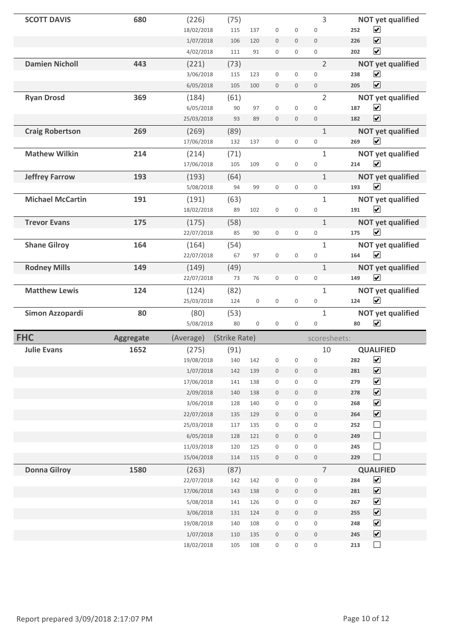| <b>SCOTT DAVIS</b>      | 680              | (226)                   | (75)          |                     |                          |                          | 3                         | <b>NOT yet qualified</b>                                   |
|-------------------------|------------------|-------------------------|---------------|---------------------|--------------------------|--------------------------|---------------------------|------------------------------------------------------------|
|                         |                  | 18/02/2018              | 115           | 137                 | $\mathbf 0$              | $\mathsf{O}\xspace$      | $\mathbf 0$               | $\blacktriangledown$<br>252                                |
|                         |                  | 1/07/2018               | 106           | 120                 | $\mathbf 0$              | $\mathbf 0$              | $\mathbf 0$               | $\blacktriangledown$<br>226                                |
|                         |                  | 4/02/2018               | 111           | 91                  | $\mathsf{O}\xspace$      | $\mathsf{O}\xspace$      | $\mathbf 0$               | $\blacktriangledown$<br>202                                |
| <b>Damien Nicholl</b>   | 443              | (221)                   | (73)          |                     |                          |                          | $\overline{2}$            | <b>NOT yet qualified</b>                                   |
|                         |                  | 3/06/2018               | 115           | 123                 | $\mathsf{O}\xspace$      | $\mathsf 0$              | $\mathbf 0$               | $\blacktriangledown$<br>238                                |
|                         |                  | 6/05/2018               | 105           | 100                 | $\mathbf 0$              | $\mathbf 0$              | $\boldsymbol{0}$          | $\overline{\mathbf{v}}$<br>205                             |
| <b>Ryan Drosd</b>       | 369              | (184)                   | (61)          |                     |                          |                          | $\overline{2}$            | <b>NOT yet qualified</b>                                   |
|                         |                  | 6/05/2018               | 90            | 97                  | $\mathbf 0$              | $\mathbf 0$              | $\mathbf 0$               | $\blacktriangledown$<br>187                                |
|                         |                  | 25/03/2018              | 93            | 89                  | $\mathbf 0$              | $\mathsf{O}$             | $\mathbf 0$               | $\blacktriangledown$<br>182                                |
| <b>Craig Robertson</b>  | 269              | (269)                   | (89)          |                     |                          |                          | $\mathbf 1$               | <b>NOT yet qualified</b>                                   |
|                         |                  | 17/06/2018              | 132           | 137                 | $\mathbb O$              | $\mathsf{O}\xspace$      | $\mathbb O$               | $\overline{\mathbf{v}}$<br>269                             |
| <b>Mathew Wilkin</b>    | 214              | (214)                   | (71)          |                     |                          |                          | $\mathbf{1}$              | <b>NOT yet qualified</b>                                   |
|                         |                  | 17/06/2018              | 105           | 109                 | $\mathbf 0$              | $\boldsymbol{0}$         | $\mathbf 0$               | $\blacktriangledown$<br>214                                |
| <b>Jeffrey Farrow</b>   | 193              | (193)                   | (64)          |                     |                          |                          | $\mathbf{1}$              | <b>NOT yet qualified</b>                                   |
|                         |                  | 5/08/2018               | 94            | 99                  | $\mathsf 0$              | $\mathsf{O}\xspace$      | $\mathsf 0$               | $\overline{\mathbf{v}}$<br>193                             |
| <b>Michael McCartin</b> | 191              | (191)                   | (63)          |                     |                          |                          | $\mathbf{1}$              | <b>NOT yet qualified</b>                                   |
|                         |                  | 18/02/2018              | 89            | 102                 | $\mathsf{O}\xspace$      | $\boldsymbol{0}$         | $\mathbf 0$               | $\blacktriangledown$<br>191                                |
| <b>Trevor Evans</b>     | 175              | (175)                   | (58)          |                     |                          |                          | $1\,$                     | <b>NOT yet qualified</b>                                   |
|                         |                  | 22/07/2018              | 85            | 90                  | $\mathsf 0$              | $\mathsf{O}\xspace$      | $\mathsf 0$               | $\overline{\mathbf{v}}$<br>175                             |
| <b>Shane Gilroy</b>     | 164              | (164)                   | (54)          |                     |                          |                          | $\mathbf{1}$              | <b>NOT yet qualified</b>                                   |
|                         |                  | 22/07/2018              | 67            | 97                  | $\mathsf{O}\xspace$      | $\boldsymbol{0}$         | $\boldsymbol{0}$          | $\blacktriangledown$<br>164                                |
| <b>Rodney Mills</b>     | 149              | (149)                   | (49)          |                     |                          |                          | $\mathbf{1}$              | <b>NOT yet qualified</b>                                   |
|                         |                  | 22/07/2018              | 73            | 76                  | $\mathsf{O}\xspace$      | $\mathsf{O}\xspace$      | $\mathbb O$               | $\overline{\mathbf{v}}$<br>149                             |
|                         |                  |                         |               |                     |                          |                          |                           |                                                            |
| <b>Matthew Lewis</b>    | 124              |                         |               |                     |                          |                          | $\mathbf{1}$              |                                                            |
|                         |                  | (124)<br>25/03/2018     | (82)<br>124   | $\mathsf{O}\xspace$ | $\mathsf{O}\xspace$      | $\mathbf 0$              | $\mathbf 0$               | <b>NOT yet qualified</b><br>$\overline{\mathbf{v}}$<br>124 |
| Simon Azzopardi         | 80               | (80)                    |               |                     |                          |                          | $\mathbf{1}$              |                                                            |
|                         |                  | 5/08/2018               | (53)<br>80    | $\mathsf 0$         | $\mathbf 0$              | $\mathbf 0$              | $\boldsymbol{0}$          | <b>NOT yet qualified</b><br>$\overline{\mathbf{v}}$<br>80  |
|                         |                  |                         |               |                     |                          |                          |                           |                                                            |
| <b>FHC</b>              | <b>Aggregate</b> | (Average)               | (Strike Rate) |                     |                          |                          | scoresheets:              |                                                            |
| <b>Julie Evans</b>      | 1652             | (275)<br>19/08/2018     | (91)<br>140   | 142                 | $\boldsymbol{0}$         | $\boldsymbol{0}$         | 10<br>$\mathsf{O}\xspace$ | <b>QUALIFIED</b><br>$\blacktriangledown$<br>282            |
|                         |                  | 1/07/2018               | 142           | 139                 | $\mathsf{O}\xspace$      | $\mathsf{O}\xspace$      | $\boldsymbol{0}$          | $\boxed{\blacktriangledown}$<br>281                        |
|                         |                  | 17/06/2018              | 141           | 138                 | 0                        | 0                        | $\mathsf{O}\xspace$       | $\blacktriangledown$<br>279                                |
|                         |                  | 2/09/2018               | 140           | 138                 | $\mathsf{O}\xspace$      | $\mathsf{O}\xspace$      | $\mathsf{O}\xspace$       | $\blacktriangledown$<br>278                                |
|                         |                  | 3/06/2018               | 128           | 140                 | $\mathsf{O}\xspace$      | $\mathsf{O}\xspace$      | $\mathsf{O}\xspace$       | $\blacktriangledown$<br>268                                |
|                         |                  | 22/07/2018              | 135           | 129                 | 0                        | $\mathsf{O}\xspace$      | $\boldsymbol{0}$          | $\blacktriangledown$<br>264                                |
|                         |                  | 25/03/2018              | $117\,$       | 135                 | $\mathsf{O}\xspace$      | $\mathsf{O}\xspace$      | $\mathsf{O}\xspace$       | $\Box$<br>252                                              |
|                         |                  | 6/05/2018               | 128           | 121                 | $\boldsymbol{0}$         | $\mathbb O$              | $\boldsymbol{0}$          | $\Box$<br>249                                              |
|                         |                  | 11/03/2018              | 120           | 125                 | $\mathsf{O}\xspace$      | $\mathsf{O}\xspace$      | $\mathsf{O}\xspace$       | $\Box$<br>245                                              |
|                         |                  | 15/04/2018              | 114           | 115                 | $\mathsf{O}\xspace$      | $\mathsf{O}\xspace$      | $\mathbb O$               | $\blacksquare$<br>229                                      |
| <b>Donna Gilroy</b>     | 1580             | (263)                   | (87)          |                     |                          |                          | $\overline{7}$            | <b>QUALIFIED</b>                                           |
|                         |                  | 22/07/2018              | 142           | 142                 | $\mathsf{O}\xspace$      | $\mathsf 0$              | $\mathbf 0$               | $\blacktriangleright$<br>284                               |
|                         |                  | 17/06/2018              | 143           | 138                 | $\mathsf{O}\xspace$      | $\mathsf{O}\xspace$      | $\mathsf{O}\xspace$       | $\blacktriangledown$<br>281                                |
|                         |                  | 5/08/2018               | 141           | 126                 | $\mathsf{O}\xspace$      | 0                        | $\mathsf 0$               | $\blacktriangledown$<br>267                                |
|                         |                  | 3/06/2018               | 131           | 124                 | $\mathsf{O}\xspace$      | $\mathsf{O}\xspace$      | $\mathbb O$               | $\blacktriangleright$<br>255                               |
|                         |                  | 19/08/2018              | 140           | 108                 | $\mathsf{O}\xspace$      | $\mathsf{O}\xspace$      | $\mathsf{O}\xspace$       | $\blacktriangledown$<br>248                                |
|                         |                  | 1/07/2018<br>18/02/2018 | 110<br>105    | 135<br>108          | $\mathsf{O}\xspace$<br>0 | $\mathsf{O}\xspace$<br>0 | $\mathbb O$<br>0          | $\blacktriangledown$<br>245<br>$\Box$<br>213               |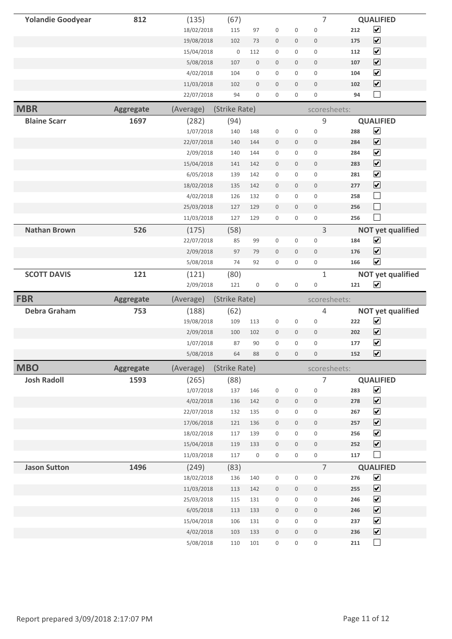| <b>Yolandie Goodyear</b> | 812              | (135)                  | (67)          |                     |                     |                     | 7                   |     | <b>QUALIFIED</b>               |
|--------------------------|------------------|------------------------|---------------|---------------------|---------------------|---------------------|---------------------|-----|--------------------------------|
|                          |                  | 18/02/2018             | 115           | 97                  | $\mathsf{O}\xspace$ | 0                   | $\mathbf 0$         | 212 | $\blacktriangledown$           |
|                          |                  | 19/08/2018             | 102           | 73                  | $\boldsymbol{0}$    | 0                   | $\mathsf{O}\xspace$ | 175 | $\overline{\mathbf{v}}$        |
|                          |                  | 15/04/2018             | $\mathbb O$   | 112                 | $\mathsf{O}\xspace$ | 0                   | $\mathsf{O}\xspace$ | 112 | $\overline{\mathbf{v}}$        |
|                          |                  | 5/08/2018              | 107           | $\mathsf{O}\xspace$ | $\mathbb O$         | 0                   | $\bf 0$             | 107 | $\overline{\mathbf{v}}$        |
|                          |                  | 4/02/2018              | 104           | 0                   | $\mathbf 0$         | 0                   | 0                   | 104 | $\overline{\mathbf{v}}$        |
|                          |                  | 11/03/2018             | 102           | $\mathsf{O}\xspace$ | $\mathbf 0$         | $\mathsf{O}$        | $\mathbb O$         | 102 | $\overline{\mathbf{v}}$        |
|                          |                  | 22/07/2018             | 94            | 0                   | 0                   | 0                   | 0                   | 94  | $\Box$                         |
| <b>MBR</b>               | <b>Aggregate</b> | (Average)              | (Strike Rate) |                     |                     |                     | scoresheets:        |     |                                |
| <b>Blaine Scarr</b>      | 1697             | (282)                  | (94)          |                     |                     |                     | 9                   |     | <b>QUALIFIED</b>               |
|                          |                  | 1/07/2018              | 140           | 148                 | 0                   | 0                   | 0                   | 288 | $\blacktriangledown$           |
|                          |                  | 22/07/2018             | 140           | 144                 | $\mathbf 0$         | 0                   | $\mathsf{O}\xspace$ | 284 | $\overline{\mathbf{v}}$        |
|                          |                  | 2/09/2018              | 140           | 144                 | $\mathbf 0$         | 0                   | $\mathbf 0$         | 284 | $\overline{\mathbf{v}}$        |
|                          |                  | 15/04/2018             | 141           | 142                 | $\boldsymbol{0}$    | 0                   | $\mathsf{O}\xspace$ | 283 | $\overline{\mathbf{v}}$        |
|                          |                  | 6/05/2018              | 139           | 142                 | $\mathsf{O}\xspace$ | 0                   | $\mathsf{O}\xspace$ | 281 | $\blacktriangledown$           |
|                          |                  | 18/02/2018             | 135           | 142                 | $\boldsymbol{0}$    | 0                   | $\mathbf 0$         | 277 | $\blacktriangledown$           |
|                          |                  | 4/02/2018              | 126           | 132                 | $\mathbf 0$         | 0                   | $\mathsf{O}\xspace$ | 258 | $\Box$                         |
|                          |                  | 25/03/2018             | 127           | 129                 | $\mathbb O$         | $\mathsf{O}$        | $\mathbb O$         | 256 | $\Box$                         |
|                          |                  | 11/03/2018             | 127           | 129                 | 0                   | 0                   | 0                   | 256 | $\mathcal{L}_{\mathcal{A}}$    |
| <b>Nathan Brown</b>      | 526              | (175)                  | (58)          |                     |                     |                     | 3                   |     | <b>NOT yet qualified</b>       |
|                          |                  | 22/07/2018             | 85            | 99                  | 0                   | 0                   | 0                   | 184 | $\blacktriangledown$           |
|                          |                  | 2/09/2018              | 97            | 79                  | $\mathbf 0$         | $\mathbf 0$         | $\mathsf{O}\xspace$ | 176 | $\blacktriangledown$           |
|                          |                  | 5/08/2018              | 74            | 92                  | $\mathsf{O}\xspace$ | 0                   | $\mathsf{O}\xspace$ | 166 | $\overline{\mathbf{v}}$        |
| <b>SCOTT DAVIS</b>       | 121              | (121)                  | (80)          |                     |                     |                     | $\mathbf{1}$        |     | <b>NOT yet qualified</b>       |
|                          |                  |                        |               |                     |                     |                     |                     |     |                                |
|                          |                  | 2/09/2018              | 121           | 0                   | 0                   | 0                   | $\mathsf{O}\xspace$ | 121 | $\blacktriangledown$           |
| <b>FBR</b>               | <b>Aggregate</b> | (Average)              | (Strike Rate) |                     |                     |                     | scoresheets:        |     |                                |
| <b>Debra Graham</b>      | 753              | (188)                  | (62)          |                     |                     |                     | 4                   |     | <b>NOT yet qualified</b>       |
|                          |                  | 19/08/2018             | 109           | 113                 | $\mathbf 0$         | 0                   | $\mathsf{O}\xspace$ | 222 | $\blacktriangledown$           |
|                          |                  | 2/09/2018              | 100           | 102                 | $\boldsymbol{0}$    | 0                   | $\mathsf{O}\xspace$ | 202 | $\overline{\mathbf{v}}$        |
|                          |                  | 1/07/2018              | 87            | 90                  | 0                   | 0                   | 0                   | 177 | $\blacktriangledown$           |
|                          |                  | 5/08/2018              | 64            | 88                  | $\mathbb O$         | $\mathsf{O}\xspace$ | $\mathsf{O}\xspace$ | 152 | $\blacktriangledown$           |
| <b>MBO</b>               | <b>Aggregate</b> | (Average)              | (Strike Rate) |                     |                     |                     | scoresheets:        |     |                                |
| <b>Josh Radoll</b>       | 1593             | (265)                  | (88)          |                     |                     |                     | $\overline{7}$      |     | <b>QUALIFIED</b>               |
|                          |                  | 1/07/2018              | 137           | 146                 | $\mathsf{O}\xspace$ | 0                   | $\mathbf 0$         | 283 | $\blacktriangledown$           |
|                          |                  | 4/02/2018              | 136           | 142                 | $\mathsf{O}\xspace$ | 0                   | 0                   | 278 | $\overline{\mathbf{v}}$        |
|                          |                  | 22/07/2018             | 132           | 135                 | $\mathsf{O}\xspace$ | 0                   | $\mathsf{O}\xspace$ | 267 | $\blacktriangledown$           |
|                          |                  | 17/06/2018             | 121           | 136                 | 0                   | 0                   | $\mathsf{O}$        | 257 | $\blacktriangledown$           |
|                          |                  | 18/02/2018             | 117           | 139                 | $\mathsf{O}\xspace$ | 0                   | $\mathsf{O}\xspace$ | 256 | $\blacktriangledown$           |
|                          |                  | 15/04/2018             | 119           | 133                 | $\mathsf{O}\xspace$ | 0                   | $\mathbb O$         | 252 | $\overline{\mathbf{v}}$        |
|                          |                  | 11/03/2018             | 117           | $\mathsf 0$         | $\mathsf{O}\xspace$ | 0                   | 0                   | 117 | $\Box$                         |
| <b>Jason Sutton</b>      | 1496             | (249)                  | (83)          |                     |                     |                     | $\overline{7}$      |     | <b>QUALIFIED</b>               |
|                          |                  | 18/02/2018             | 136           | 140                 | 0                   | 0                   | 0                   | 276 | $\blacktriangledown$           |
|                          |                  | 11/03/2018             | 113           | 142                 | $\mathsf{O}\xspace$ | 0                   | $\mathsf{O}\xspace$ | 255 | $\blacktriangledown$           |
|                          |                  | 25/03/2018             | 115           | 131                 | $\mathsf{O}\xspace$ | 0                   | $\mathsf{O}\xspace$ | 246 | $\blacktriangledown$           |
|                          |                  | 6/05/2018              | 113           | 133                 | $\mathsf{O}\xspace$ | 0                   | 0                   | 246 | $\blacktriangledown$           |
|                          |                  | 15/04/2018             | 106           | 131                 | $\mathsf{O}\xspace$ | 0                   | $\mathsf{O}\xspace$ | 237 | $\blacktriangledown$           |
|                          |                  | 4/02/2018<br>5/08/2018 | 103           | 133                 | 0                   | 0                   | $\mathsf{O}$        | 236 | $\blacktriangledown$<br>$\Box$ |